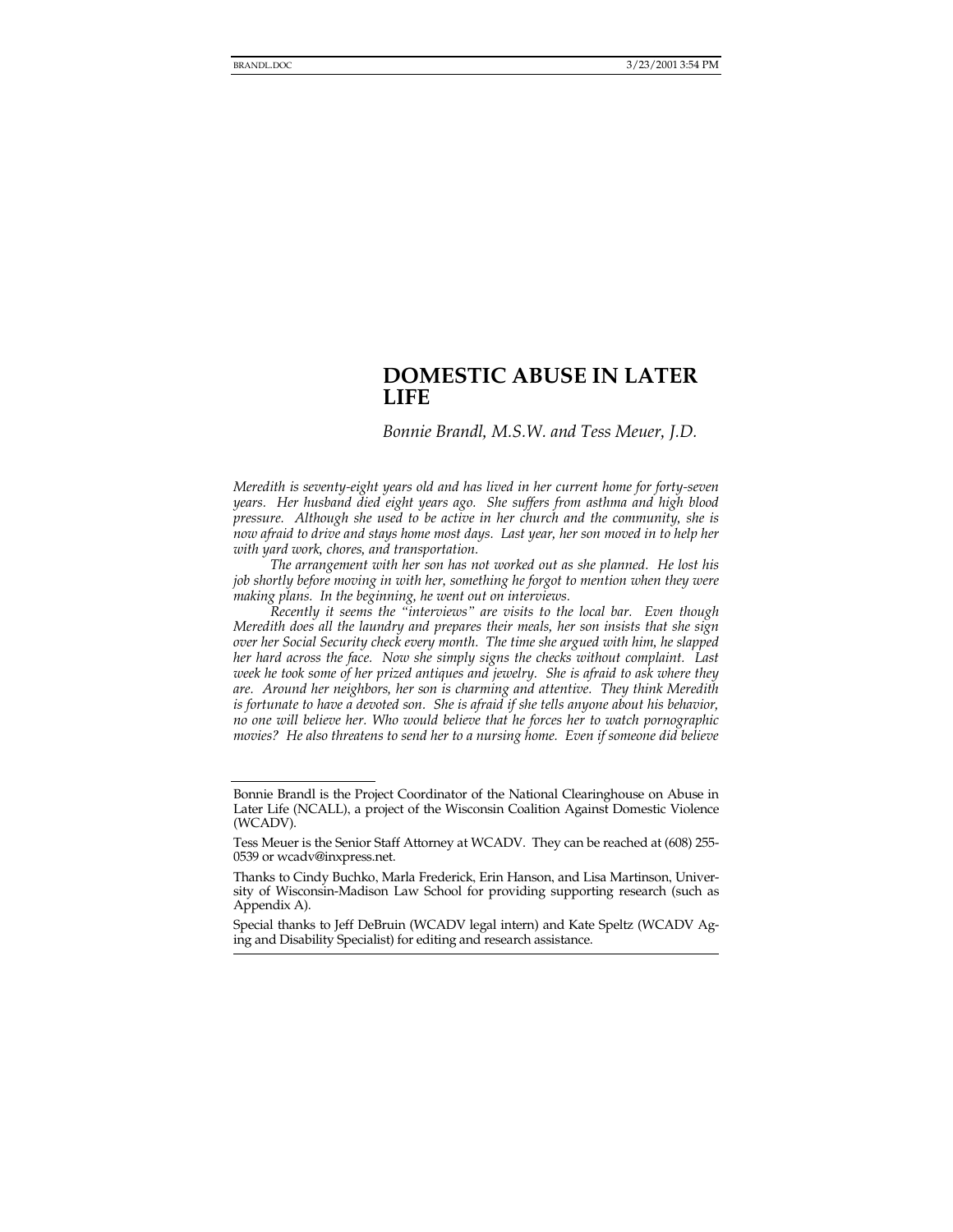# **DOMESTIC ABUSE IN LATER LIFE**

## *Bonnie Brandl, M.S.W. and Tess Meuer, J.D.*

*Meredith is seventy-eight years old and has lived in her current home for forty-seven years. Her husband died eight years ago. She suffers from asthma and high blood pressure. Although she used to be active in her church and the community, she is now afraid to drive and stays home most days. Last year, her son moved in to help her with yard work, chores, and transportation.* 

*The arrangement with her son has not worked out as she planned. He lost his job shortly before moving in with her, something he forgot to mention when they were making plans. In the beginning, he went out on interviews.* 

*Recently it seems the "interviews" are visits to the local bar. Even though Meredith does all the laundry and prepares their meals, her son insists that she sign over her Social Security check every month. The time she argued with him, he slapped her hard across the face. Now she simply signs the checks without complaint. Last week he took some of her prized antiques and jewelry. She is afraid to ask where they are. Around her neighbors, her son is charming and attentive. They think Meredith is fortunate to have a devoted son. She is afraid if she tells anyone about his behavior, no one will believe her. Who would believe that he forces her to watch pornographic movies? He also threatens to send her to a nursing home. Even if someone did believe* 

Bonnie Brandl is the Project Coordinator of the National Clearinghouse on Abuse in Later Life (NCALL), a project of the Wisconsin Coalition Against Domestic Violence (WCADV).

Tess Meuer is the Senior Staff Attorney at WCADV. They can be reached at (608) 255- 0539 or wcadv@inxpress.net.

Thanks to Cindy Buchko, Marla Frederick, Erin Hanson, and Lisa Martinson, University of Wisconsin-Madison Law School for providing supporting research (such as Appendix A).

Special thanks to Jeff DeBruin (WCADV legal intern) and Kate Speltz (WCADV Aging and Disability Specialist) for editing and research assistance.  $\overline{a}$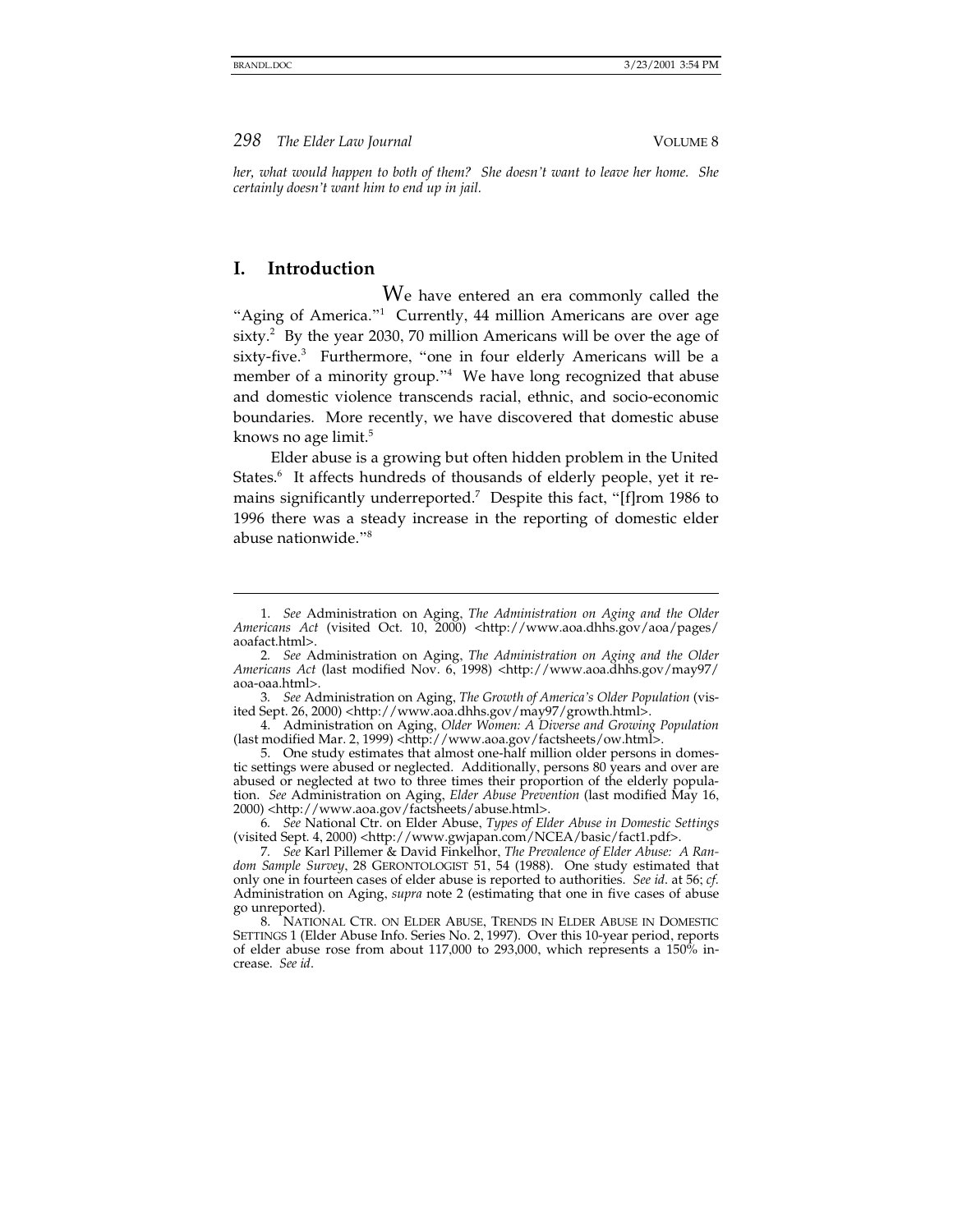*her, what would happen to both of them? She doesn't want to leave her home. She certainly doesn't want him to end up in jail.* 

## **I. Introduction**

-

We have entered an era commonly called the "Aging of America."<sup>1</sup> Currently, 44 million Americans are over age sixty.<sup>2</sup> By the year 2030, 70 million Americans will be over the age of sixty-five.<sup>3</sup> Furthermore, "one in four elderly Americans will be a member of a minority group."<sup>4</sup> We have long recognized that abuse and domestic violence transcends racial, ethnic, and socio-economic boundaries. More recently, we have discovered that domestic abuse knows no age limit.<sup>5</sup>

Elder abuse is a growing but often hidden problem in the United States.<sup>6</sup> It affects hundreds of thousands of elderly people, yet it remains significantly underreported.<sup>7</sup> Despite this fact, "[f]rom 1986 to 1996 there was a steady increase in the reporting of domestic elder abuse nationwide."<sup>8</sup>

 <sup>1.</sup> *See* Administration on Aging, *The Administration on Aging and the Older Americans Act* (visited Oct. 10, 2000) <http://www.aoa.dhhs.gov/aoa/pages/ aoafact.html>.

<sup>2</sup>*. See* Administration on Aging, *The Administration on Aging and the Older Americans Act* (last modified Nov. 6, 1998) <http://www.aoa.dhhs.gov/may97/ aoa-oaa.html>.

<sup>3</sup>*. See* Administration on Aging, *The Growth of America's Older Population* (visited Sept. 26, 2000) <http://www.aoa.dhhs.gov/may97/growth.html>.

 <sup>4.</sup> Administration on Aging, *Older Women: A Diverse and Growing Population* (last modified Mar. 2, 1999) <http://www.aoa.gov/factsheets/ow.html>.

 <sup>5.</sup> One study estimates that almost one-half million older persons in domestic settings were abused or neglected. Additionally, persons 80 years and over are abused or neglected at two to three times their proportion of the elderly population. *See* Administration on Aging, *Elder Abuse Prevention* (last modified May 16, 2000) <http://www.aoa.gov/factsheets/abuse.html>.

<sup>6</sup>*. See* National Ctr. on Elder Abuse, *Types of Elder Abuse in Domestic Settings* (visited Sept. 4, 2000) <http://www.gwjapan.com/NCEA/basic/fact1.pdf>.

<sup>7</sup>*. See* Karl Pillemer & David Finkelhor, *The Prevalence of Elder Abuse: A Random Sample Survey*, 28 GERONTOLOGIST 51, 54 (1988). One study estimated that only one in fourteen cases of elder abuse is reported to authorities. *See id*. at 56; *cf.* Administration on Aging, *supra* note 2 (estimating that one in five cases of abuse go unreported).

 <sup>8.</sup> NATIONAL CTR. ON ELDER ABUSE, TRENDS IN ELDER ABUSE IN DOMESTIC SETTINGS 1 (Elder Abuse Info. Series No. 2, 1997). Over this 10-year period, reports of elder abuse rose from about 117,000 to 293,000, which represents a 150% increase. *See id*.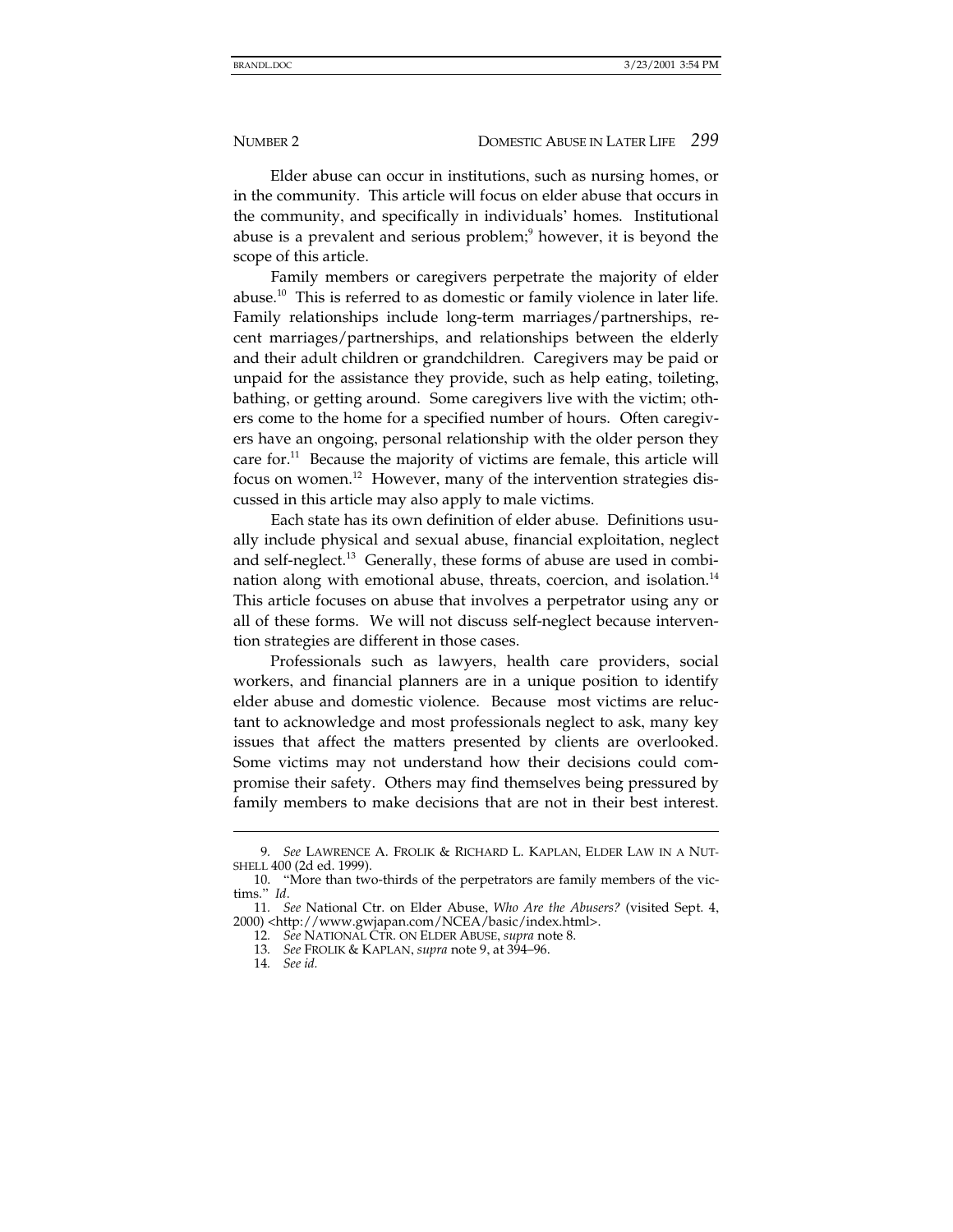Elder abuse can occur in institutions, such as nursing homes, or in the community. This article will focus on elder abuse that occurs in the community, and specifically in individuals' homes. Institutional abuse is a prevalent and serious problem; 9 however, it is beyond the scope of this article.

Family members or caregivers perpetrate the majority of elder abuse.10 This is referred to as domestic or family violence in later life. Family relationships include long-term marriages/partnerships, recent marriages/partnerships, and relationships between the elderly and their adult children or grandchildren. Caregivers may be paid or unpaid for the assistance they provide, such as help eating, toileting, bathing, or getting around. Some caregivers live with the victim; others come to the home for a specified number of hours. Often caregivers have an ongoing, personal relationship with the older person they care for.<sup>11</sup> Because the majority of victims are female, this article will focus on women.12 However, many of the intervention strategies discussed in this article may also apply to male victims.

Each state has its own definition of elder abuse. Definitions usually include physical and sexual abuse, financial exploitation, neglect and self-neglect. $^{13}$  Generally, these forms of abuse are used in combination along with emotional abuse, threats, coercion, and isolation.<sup>14</sup> This article focuses on abuse that involves a perpetrator using any or all of these forms. We will not discuss self-neglect because intervention strategies are different in those cases.

Professionals such as lawyers, health care providers, social workers, and financial planners are in a unique position to identify elder abuse and domestic violence. Because most victims are reluctant to acknowledge and most professionals neglect to ask, many key issues that affect the matters presented by clients are overlooked. Some victims may not understand how their decisions could compromise their safety. Others may find themselves being pressured by family members to make decisions that are not in their best interest.

<sup>9</sup>*. See* LAWRENCE A. FROLIK & RICHARD L. KAPLAN, ELDER LAW IN A NUT-SHELL 400 (2d ed. 1999).

 <sup>10.</sup> "More than two-thirds of the perpetrators are family members of the victims." *Id*.

<sup>11</sup>*. See* National Ctr. on Elder Abuse, *Who Are the Abusers?* (visited Sept. 4, 2000) <http://www.gwjapan.com/NCEA/basic/index.html>.

<sup>12</sup>*. See* NATIONAL CTR. ON ELDER ABUSE, *supra* note 8.

<sup>13</sup>*. See* FROLIK & KAPLAN, *supra* note 9, at 394–96.

<sup>14</sup>*. See id.*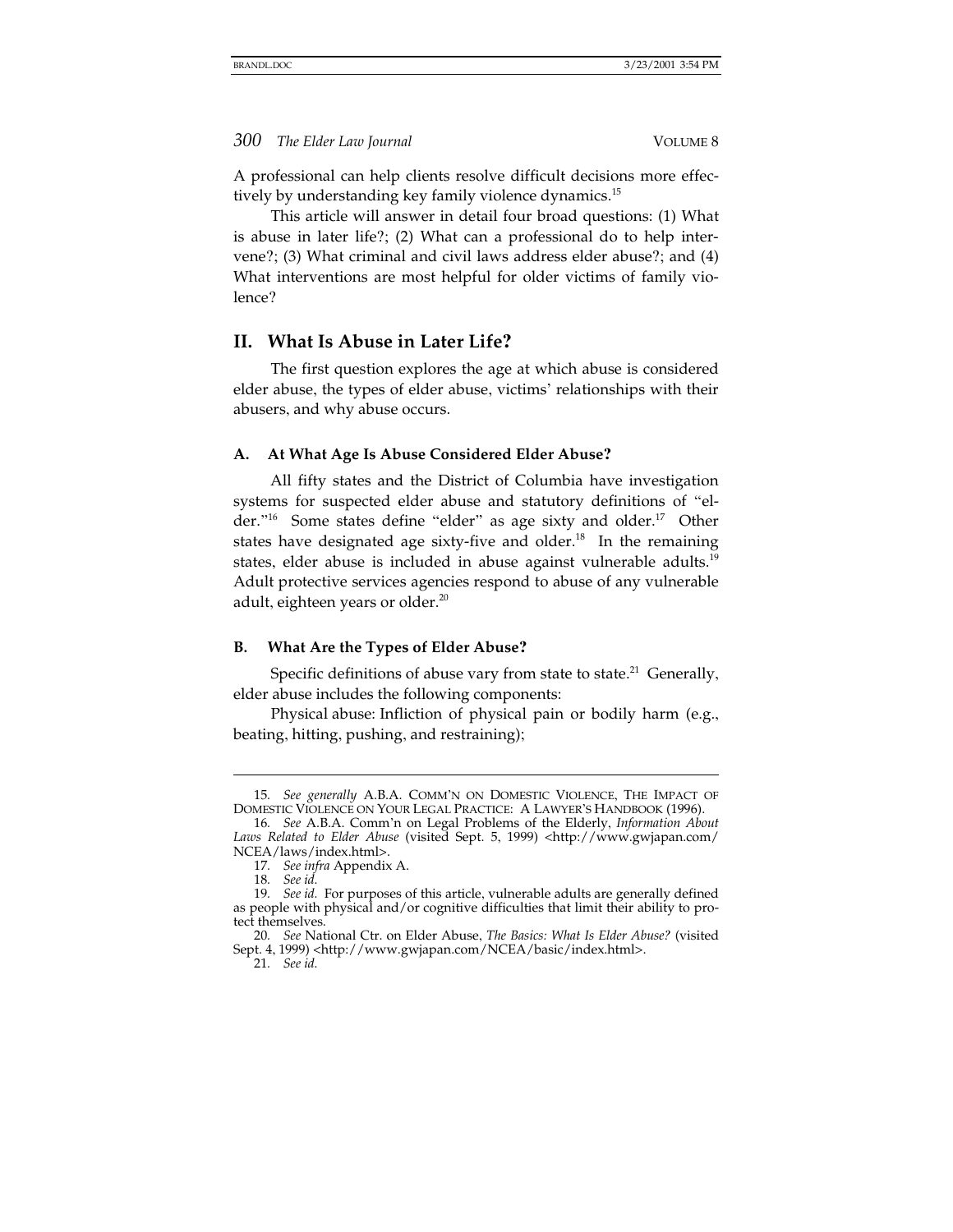A professional can help clients resolve difficult decisions more effectively by understanding key family violence dynamics.<sup>15</sup>

This article will answer in detail four broad questions: (1) What is abuse in later life?; (2) What can a professional do to help intervene?; (3) What criminal and civil laws address elder abuse?; and (4) What interventions are most helpful for older victims of family violence?

## **II. What Is Abuse in Later Life?**

The first question explores the age at which abuse is considered elder abuse, the types of elder abuse, victims' relationships with their abusers, and why abuse occurs.

### **A. At What Age Is Abuse Considered Elder Abuse?**

All fifty states and the District of Columbia have investigation systems for suspected elder abuse and statutory definitions of "elder."16 Some states define "elder" as age sixty and older.17 Other states have designated age sixty-five and older.<sup>18</sup> In the remaining states, elder abuse is included in abuse against vulnerable adults.<sup>19</sup> Adult protective services agencies respond to abuse of any vulnerable adult, eighteen years or older.<sup>20</sup>

### **B. What Are the Types of Elder Abuse?**

Specific definitions of abuse vary from state to state.<sup>21</sup> Generally, elder abuse includes the following components:

Physical abuse: Infliction of physical pain or bodily harm (e.g., beating, hitting, pushing, and restraining);

<sup>15</sup>*. See generally* A.B.A. COMM'N ON DOMESTIC VIOLENCE, THE IMPACT OF DOMESTIC VIOLENCE ON YOUR LEGAL PRACTICE: A LAWYER'S HANDBOOK (1996).

<sup>16</sup>*. See* A.B.A. Comm'n on Legal Problems of the Elderly, *Information About Laws Related to Elder Abuse* (visited Sept. 5, 1999) <http://www.gwjapan.com/ NCEA/laws/index.html>.

<sup>17</sup>*. See infra* Appendix A.

<sup>18</sup>*. See id.*

<sup>19</sup>*. See id.* For purposes of this article, vulnerable adults are generally defined as people with physical and/or cognitive difficulties that limit their ability to protect themselves.

<sup>20</sup>*. See* National Ctr. on Elder Abuse, *The Basics: What Is Elder Abuse?* (visited Sept. 4, 1999) <http://www.gwjapan.com/NCEA/basic/index.html>.

<sup>21</sup>*. See id.*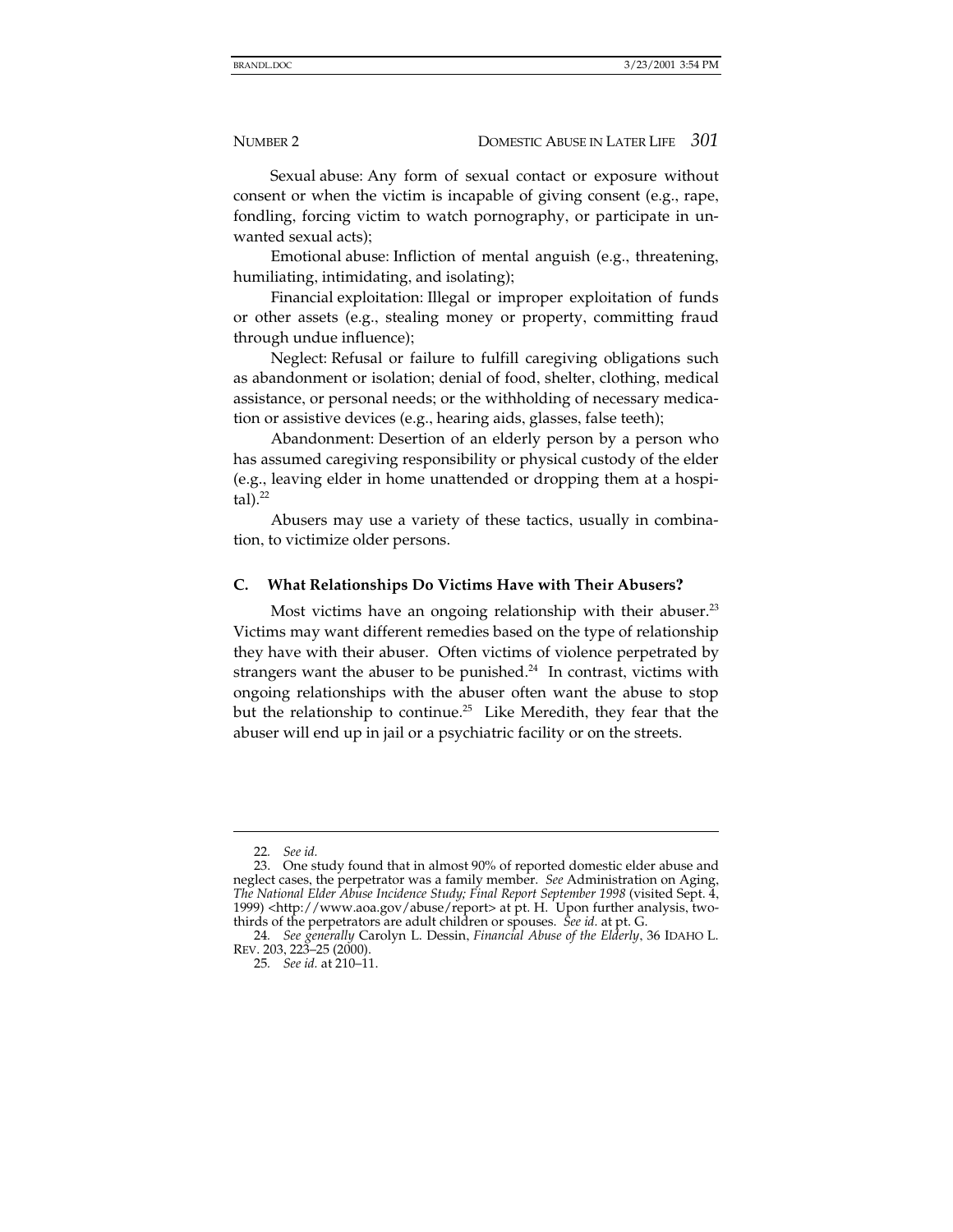Sexual abuse: Any form of sexual contact or exposure without consent or when the victim is incapable of giving consent (e.g., rape, fondling, forcing victim to watch pornography, or participate in unwanted sexual acts);

Emotional abuse: Infliction of mental anguish (e.g., threatening, humiliating, intimidating, and isolating);

Financial exploitation: Illegal or improper exploitation of funds or other assets (e.g., stealing money or property, committing fraud through undue influence);

Neglect: Refusal or failure to fulfill caregiving obligations such as abandonment or isolation; denial of food, shelter, clothing, medical assistance, or personal needs; or the withholding of necessary medication or assistive devices (e.g., hearing aids, glasses, false teeth);

Abandonment: Desertion of an elderly person by a person who has assumed caregiving responsibility or physical custody of the elder (e.g., leaving elder in home unattended or dropping them at a hospi $tal).<sup>22</sup>$ 

Abusers may use a variety of these tactics, usually in combination, to victimize older persons.

### **C. What Relationships Do Victims Have with Their Abusers?**

Most victims have an ongoing relationship with their abuser.<sup>23</sup> Victims may want different remedies based on the type of relationship they have with their abuser. Often victims of violence perpetrated by strangers want the abuser to be punished. $^{24}$  In contrast, victims with ongoing relationships with the abuser often want the abuse to stop but the relationship to continue.<sup>25</sup> Like Meredith, they fear that the abuser will end up in jail or a psychiatric facility or on the streets.

<sup>22</sup>*. See id.*

 <sup>23.</sup> One study found that in almost 90% of reported domestic elder abuse and neglect cases, the perpetrator was a family member. *See* Administration on Aging, *The National Elder Abuse Incidence Study; Final Report September 1998* (visited Sept. 4, 1999) <http://www.aoa.gov/abuse/report> at pt. H. Upon further analysis, twothirds of the perpetrators are adult children or spouses. *See id.* at pt. G.

<sup>24</sup>*. See generally* Carolyn L. Dessin, *Financial Abuse of the Elderly*, 36 IDAHO L. REV. 203, 223–25 (2000).

<sup>25</sup>*. See id.* at 210–11.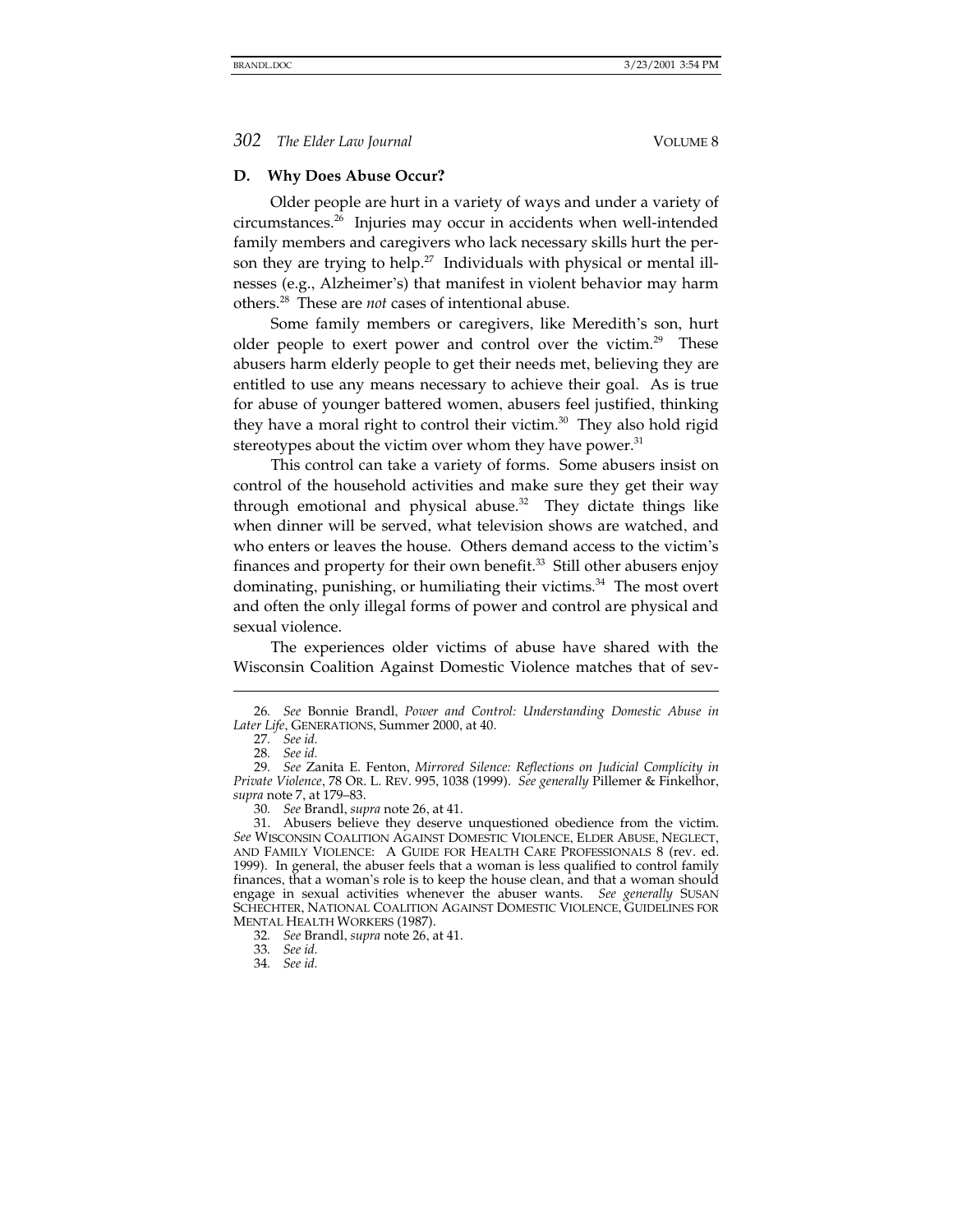### **D. Why Does Abuse Occur?**

Older people are hurt in a variety of ways and under a variety of circumstances.26 Injuries may occur in accidents when well-intended family members and caregivers who lack necessary skills hurt the person they are trying to help.<sup>27</sup> Individuals with physical or mental illnesses (e.g., Alzheimer's) that manifest in violent behavior may harm others.28 These are *not* cases of intentional abuse.

Some family members or caregivers, like Meredith's son, hurt older people to exert power and control over the victim.<sup>29</sup> These abusers harm elderly people to get their needs met, believing they are entitled to use any means necessary to achieve their goal. As is true for abuse of younger battered women, abusers feel justified, thinking they have a moral right to control their victim.<sup>30</sup> They also hold rigid stereotypes about the victim over whom they have power. $31$ 

This control can take a variety of forms. Some abusers insist on control of the household activities and make sure they get their way through emotional and physical abuse. $32$  They dictate things like when dinner will be served, what television shows are watched, and who enters or leaves the house. Others demand access to the victim's finances and property for their own benefit. $33$  Still other abusers enjoy dominating, punishing, or humiliating their victims.<sup>34</sup> The most overt and often the only illegal forms of power and control are physical and sexual violence.

The experiences older victims of abuse have shared with the Wisconsin Coalition Against Domestic Violence matches that of sev-

<sup>26</sup>*. See* Bonnie Brandl, *Power and Control: Understanding Domestic Abuse in Later Life*, GENERATIONS, Summer 2000, at 40.

<sup>27</sup>*. See id.*

<sup>28</sup>*. See id.*

<sup>29</sup>*. See* Zanita E. Fenton, *Mirrored Silence: Reflections on Judicial Complicity in Private Violence*, 78 OR. L. REV. 995, 1038 (1999). *See generally* Pillemer & Finkelhor, *supra* note 7, at 179–83.

<sup>30</sup>*. See* Brandl, *supra* note 26, at 41.

 <sup>31.</sup> Abusers believe they deserve unquestioned obedience from the victim. *See* WISCONSIN COALITION AGAINST DOMESTIC VIOLENCE, ELDER ABUSE, NEGLECT, AND FAMILY VIOLENCE: A GUIDE FOR HEALTH CARE PROFESSIONALS 8 (rev. ed. 1999). In general, the abuser feels that a woman is less qualified to control family finances, that a woman's role is to keep the house clean, and that a woman should engage in sexual activities whenever the abuser wants. *See generally* SUSAN SCHECHTER, NATIONAL COALITION AGAINST DOMESTIC VIOLENCE, GUIDELINES FOR MENTAL HEALTH WORKERS (1987).

<sup>32</sup>*. See* Brandl, *supra* note 26, at 41.

<sup>33</sup>*. See id.*

<sup>34</sup>*. See id.*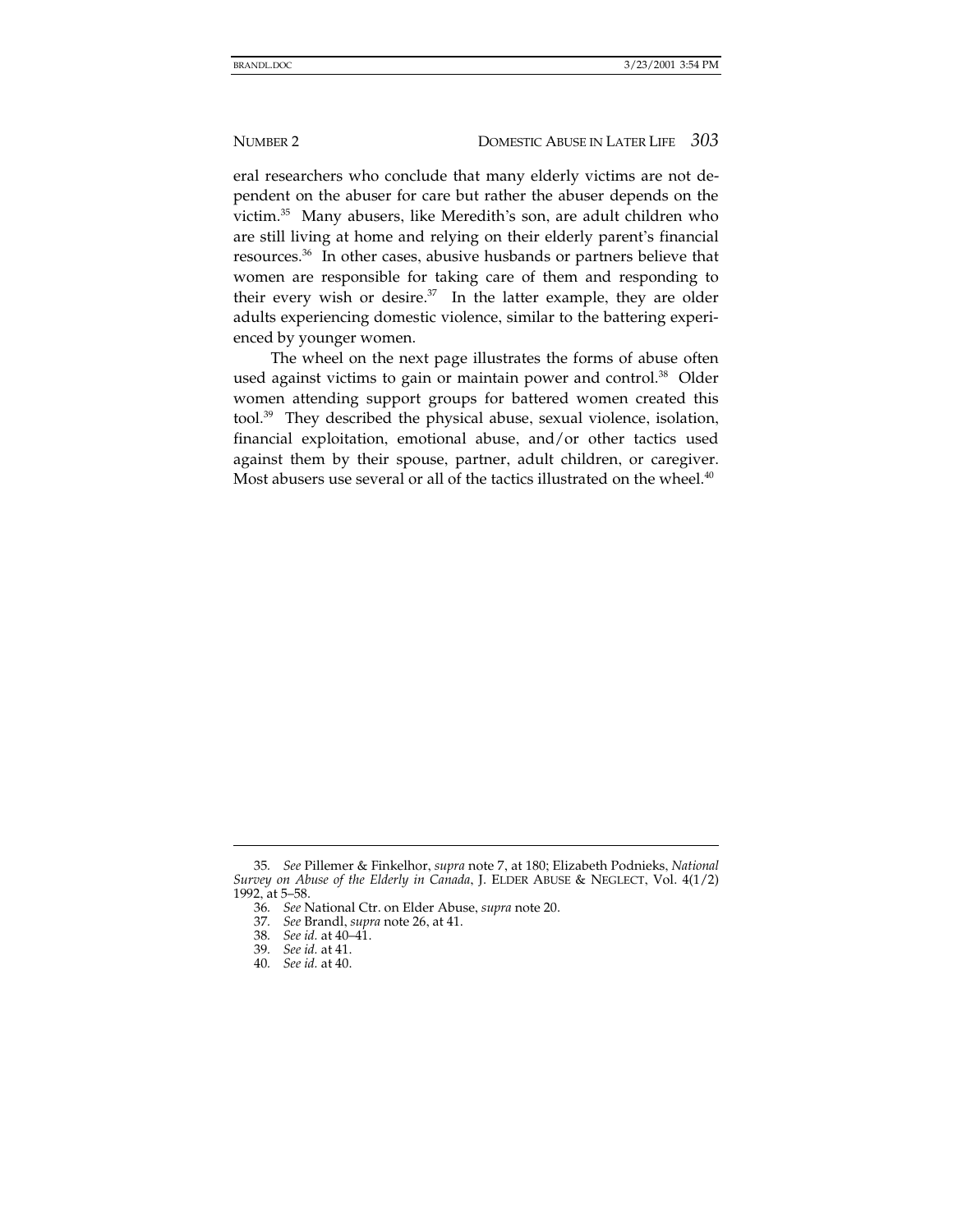eral researchers who conclude that many elderly victims are not dependent on the abuser for care but rather the abuser depends on the victim.35 Many abusers, like Meredith's son, are adult children who are still living at home and relying on their elderly parent's financial resources.36 In other cases, abusive husbands or partners believe that women are responsible for taking care of them and responding to their every wish or desire. $37$  In the latter example, they are older adults experiencing domestic violence, similar to the battering experienced by younger women.

The wheel on the next page illustrates the forms of abuse often used against victims to gain or maintain power and control.<sup>38</sup> Older women attending support groups for battered women created this tool.39 They described the physical abuse, sexual violence, isolation, financial exploitation, emotional abuse, and/or other tactics used against them by their spouse, partner, adult children, or caregiver. Most abusers use several or all of the tactics illustrated on the wheel.<sup>40</sup>

<sup>35</sup>*. See* Pillemer & Finkelhor, *supra* note 7, at 180; Elizabeth Podnieks, *National Survey on Abuse of the Elderly in Canada*, J. ELDER ABUSE & NEGLECT, Vol. 4(1/2) 1992, at 5–58.

<sup>36</sup>*. See* National Ctr. on Elder Abuse, *supra* note 20.

<sup>37</sup>*. See* Brandl, *supra* note 26, at 41.

<sup>38</sup>*. See id.* at 40–41.

<sup>39</sup>*. See id.* at 41.

<sup>40</sup>*. See id.* at 40.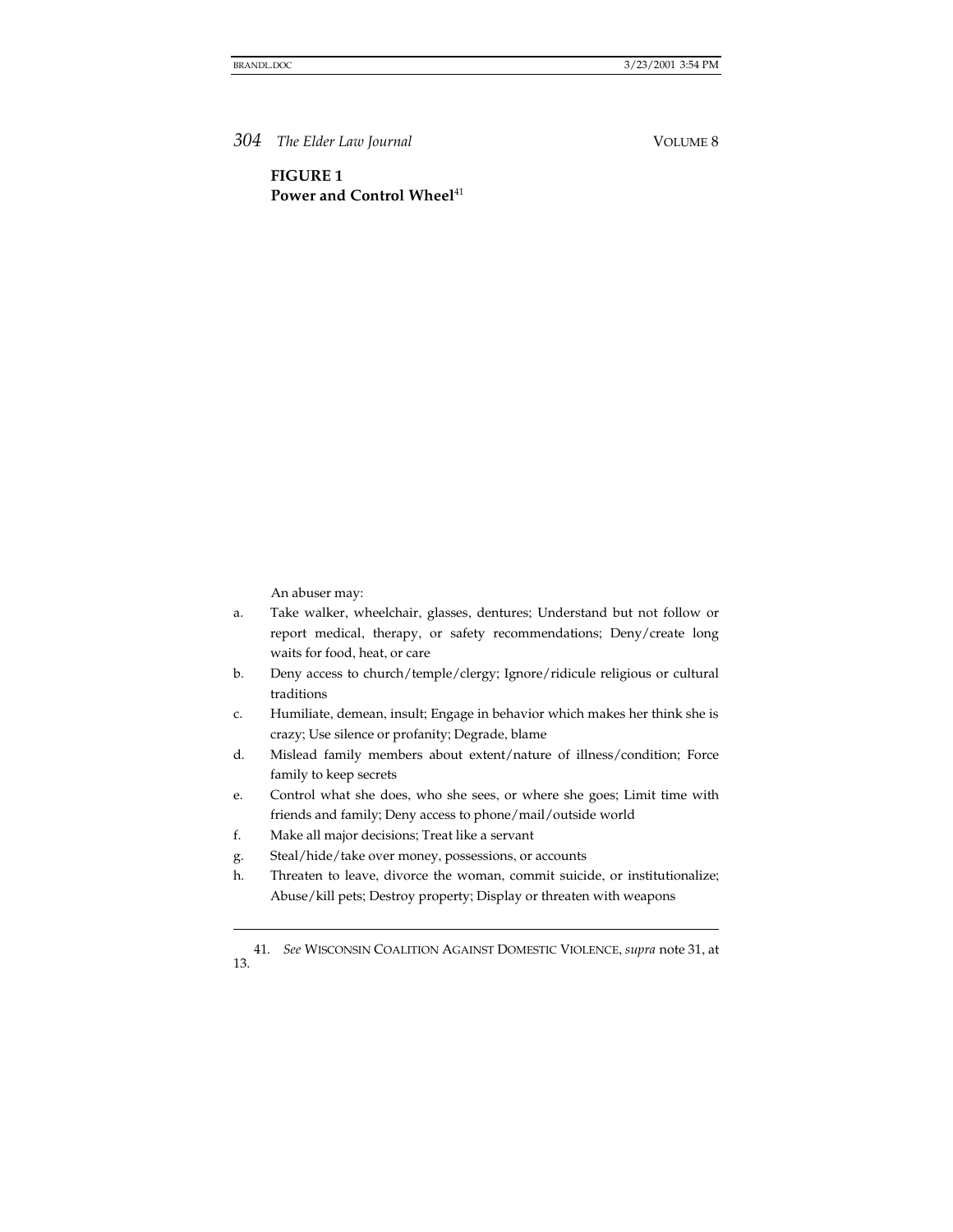**FIGURE 1**  Power and Control Wheel<sup>41</sup>

An abuser may:

- a. Take walker, wheelchair, glasses, dentures; Understand but not follow or report medical, therapy, or safety recommendations; Deny/create long waits for food, heat, or care
- b. Deny access to church/temple/clergy; Ignore/ridicule religious or cultural traditions
- c. Humiliate, demean, insult; Engage in behavior which makes her think she is crazy; Use silence or profanity; Degrade, blame
- d. Mislead family members about extent/nature of illness/condition; Force family to keep secrets
- e. Control what she does, who she sees, or where she goes; Limit time with friends and family; Deny access to phone/mail/outside world
- f. Make all major decisions; Treat like a servant
- g. Steal/hide/take over money, possessions, or accounts
- h. Threaten to leave, divorce the woman, commit suicide, or institutionalize; Abuse/kill pets; Destroy property; Display or threaten with weapons

<sup>41</sup>*. See* WISCONSIN COALITION AGAINST DOMESTIC VIOLENCE, *supra* note 31, at 13.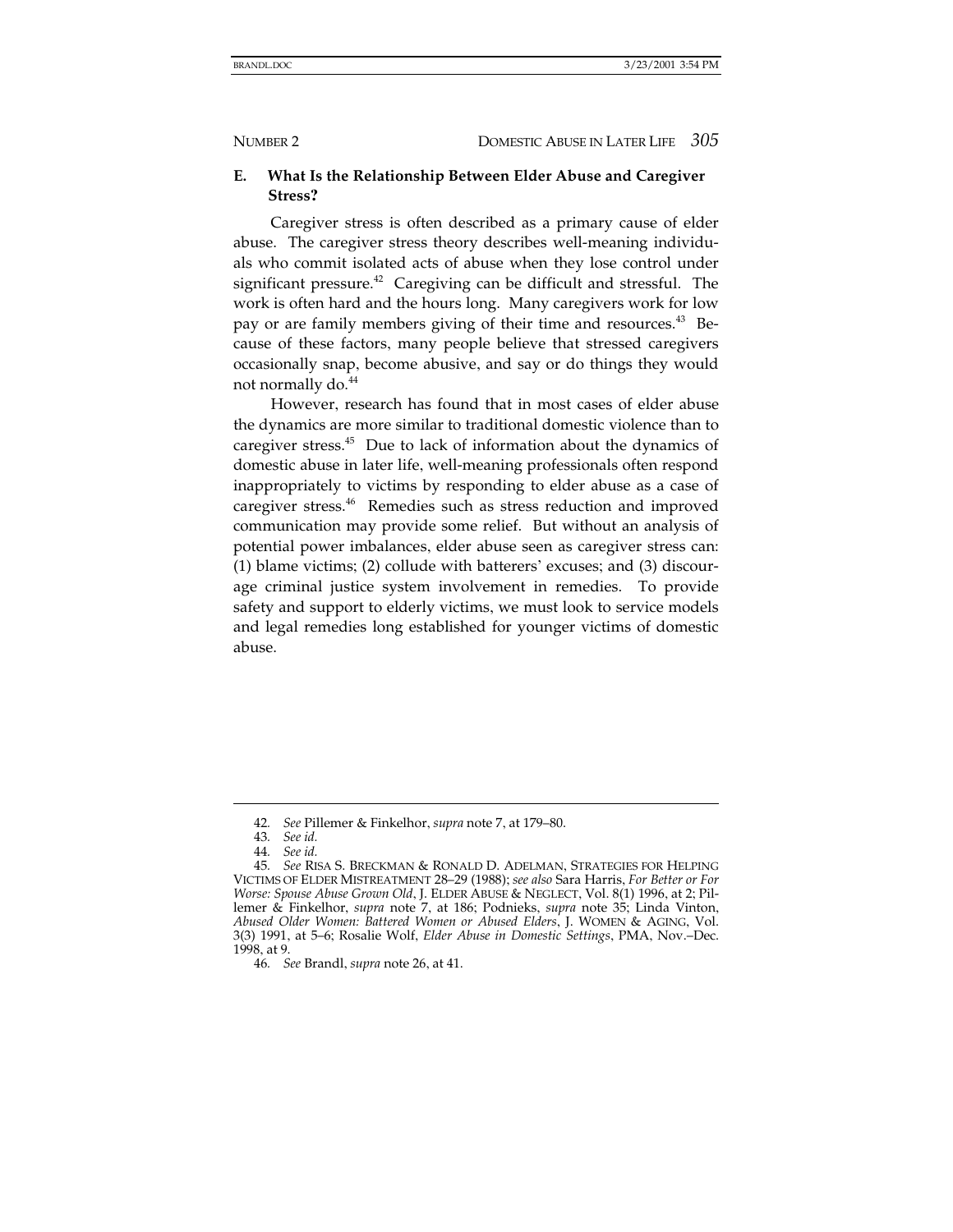## **E. What Is the Relationship Between Elder Abuse and Caregiver Stress?**

Caregiver stress is often described as a primary cause of elder abuse. The caregiver stress theory describes well-meaning individuals who commit isolated acts of abuse when they lose control under significant pressure.<sup>42</sup> Caregiving can be difficult and stressful. The work is often hard and the hours long. Many caregivers work for low pay or are family members giving of their time and resources.<sup>43</sup> Because of these factors, many people believe that stressed caregivers occasionally snap, become abusive, and say or do things they would not normally do.<sup>44</sup>

However, research has found that in most cases of elder abuse the dynamics are more similar to traditional domestic violence than to caregiver stress.45 Due to lack of information about the dynamics of domestic abuse in later life, well-meaning professionals often respond inappropriately to victims by responding to elder abuse as a case of caregiver stress.46 Remedies such as stress reduction and improved communication may provide some relief. But without an analysis of potential power imbalances, elder abuse seen as caregiver stress can: (1) blame victims; (2) collude with batterers' excuses; and (3) discourage criminal justice system involvement in remedies. To provide safety and support to elderly victims, we must look to service models and legal remedies long established for younger victims of domestic abuse.

<sup>42</sup>*. See* Pillemer & Finkelhor, *supra* note 7, at 179–80.

<sup>43</sup>*. See id.*

<sup>44</sup>*. See id.*

<sup>45</sup>*. See* RISA S. BRECKMAN & RONALD D. ADELMAN, STRATEGIES FOR HELPING VICTIMS OF ELDER MISTREATMENT 28–29 (1988); *see also* Sara Harris, *For Better or For Worse: Spouse Abuse Grown Old*, J. ELDER ABUSE & NEGLECT, Vol. 8(1) 1996, at 2; Pillemer & Finkelhor, *supra* note 7, at 186; Podnieks, *supra* note 35; Linda Vinton, *Abused Older Women: Battered Women or Abused Elders*, J. WOMEN & AGING, Vol. 3(3) 1991, at 5–6; Rosalie Wolf, *Elder Abuse in Domestic Settings*, PMA, Nov.–Dec. 1998, at 9.

<sup>46</sup>*. See* Brandl, *supra* note 26, at 41.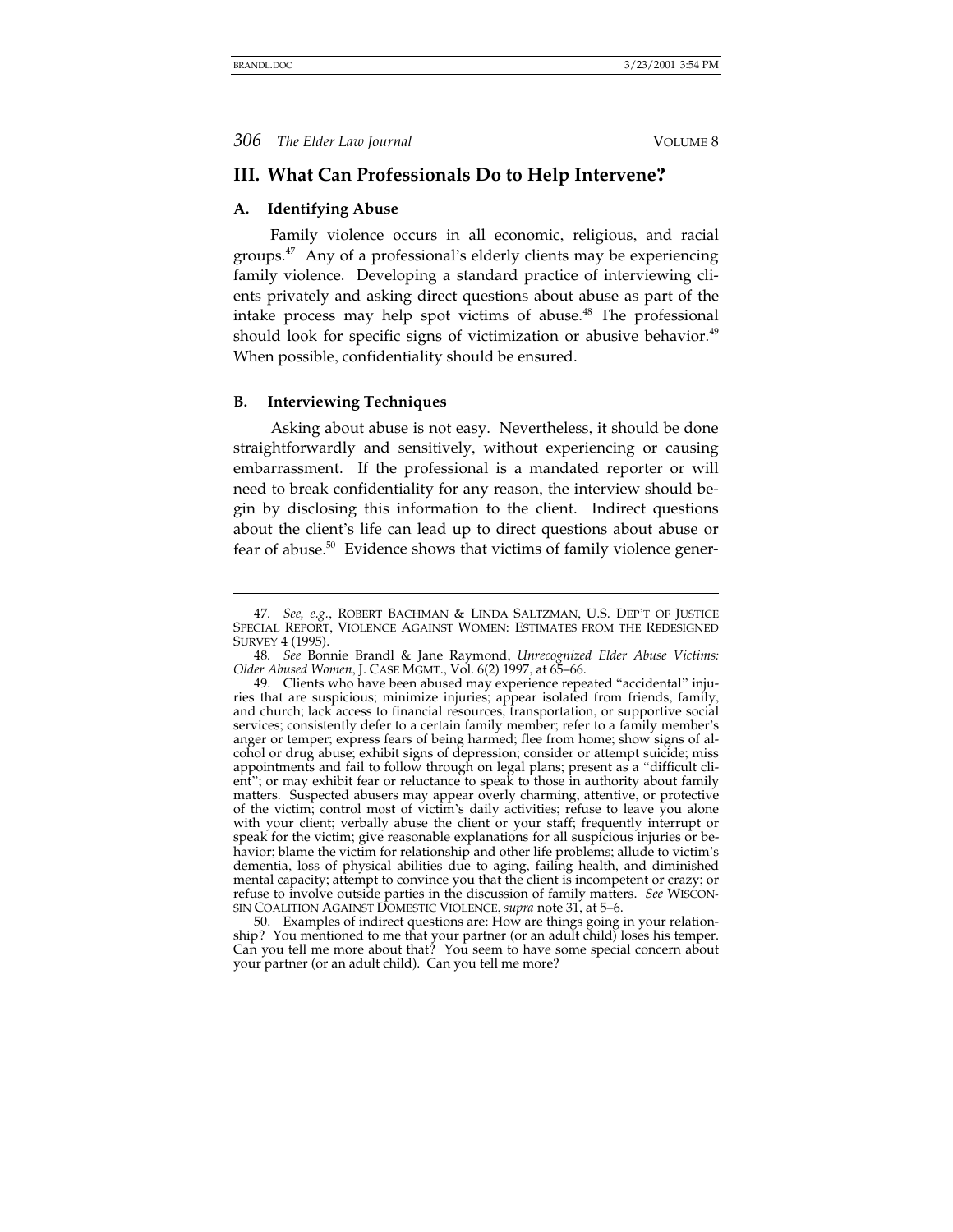-

**306** *The Elder Law Journal* **VOLUME 8** 

## **III. What Can Professionals Do to Help Intervene?**

### **A. Identifying Abuse**

Family violence occurs in all economic, religious, and racial groups.47 Any of a professional's elderly clients may be experiencing family violence. Developing a standard practice of interviewing clients privately and asking direct questions about abuse as part of the intake process may help spot victims of abuse.<sup>48</sup> The professional should look for specific signs of victimization or abusive behavior.<sup>49</sup> When possible, confidentiality should be ensured.

### **B. Interviewing Techniques**

Asking about abuse is not easy. Nevertheless, it should be done straightforwardly and sensitively, without experiencing or causing embarrassment. If the professional is a mandated reporter or will need to break confidentiality for any reason, the interview should begin by disclosing this information to the client. Indirect questions about the client's life can lead up to direct questions about abuse or fear of abuse.50 Evidence shows that victims of family violence gener-

<sup>47</sup>*. See, e.g.*, ROBERT BACHMAN & LINDA SALTZMAN, U.S. DEP'T OF JUSTICE SPECIAL REPORT, VIOLENCE AGAINST WOMEN: ESTIMATES FROM THE REDESIGNED SURVEY 4 (1995).

<sup>48</sup>*. See* Bonnie Brandl & Jane Raymond, *Unrecognized Elder Abuse Victims: Older Abused Women*, J. CASE MGMT., Vol. 6(2) 1997, at 65–66.

 <sup>49.</sup> Clients who have been abused may experience repeated "accidental" injuries that are suspicious; minimize injuries; appear isolated from friends, family, and church; lack access to financial resources, transportation, or supportive social services; consistently defer to a certain family member; refer to a family member's anger or temper; express fears of being harmed; flee from home; show signs of alcohol or drug abuse; exhibit signs of depression; consider or attempt suicide; miss appointments and fail to follow through on legal plans; present as a "difficult client"; or may exhibit fear or reluctance to speak to those in authority about family matters. Suspected abusers may appear overly charming, attentive, or protective of the victim; control most of victim's daily activities; refuse to leave you alone with your client; verbally abuse the client or your staff; frequently interrupt or speak for the victim; give reasonable explanations for all suspicious injuries or behavior; blame the victim for relationship and other life problems; allude to victim's dementia, loss of physical abilities due to aging, failing health, and diminished mental capacity; attempt to convince you that the client is incompetent or crazy; or refuse to involve outside parties in the discussion of family matters. *See* WISCON-SIN COALITION AGAINST DOMESTIC VIOLENCE, *supra* note 31, at 5–6.

 <sup>50.</sup> Examples of indirect questions are: How are things going in your relationship? You mentioned to me that your partner (or an adult child) loses his temper. Can you tell me more about that? You seem to have some special concern about your partner (or an adult child). Can you tell me more?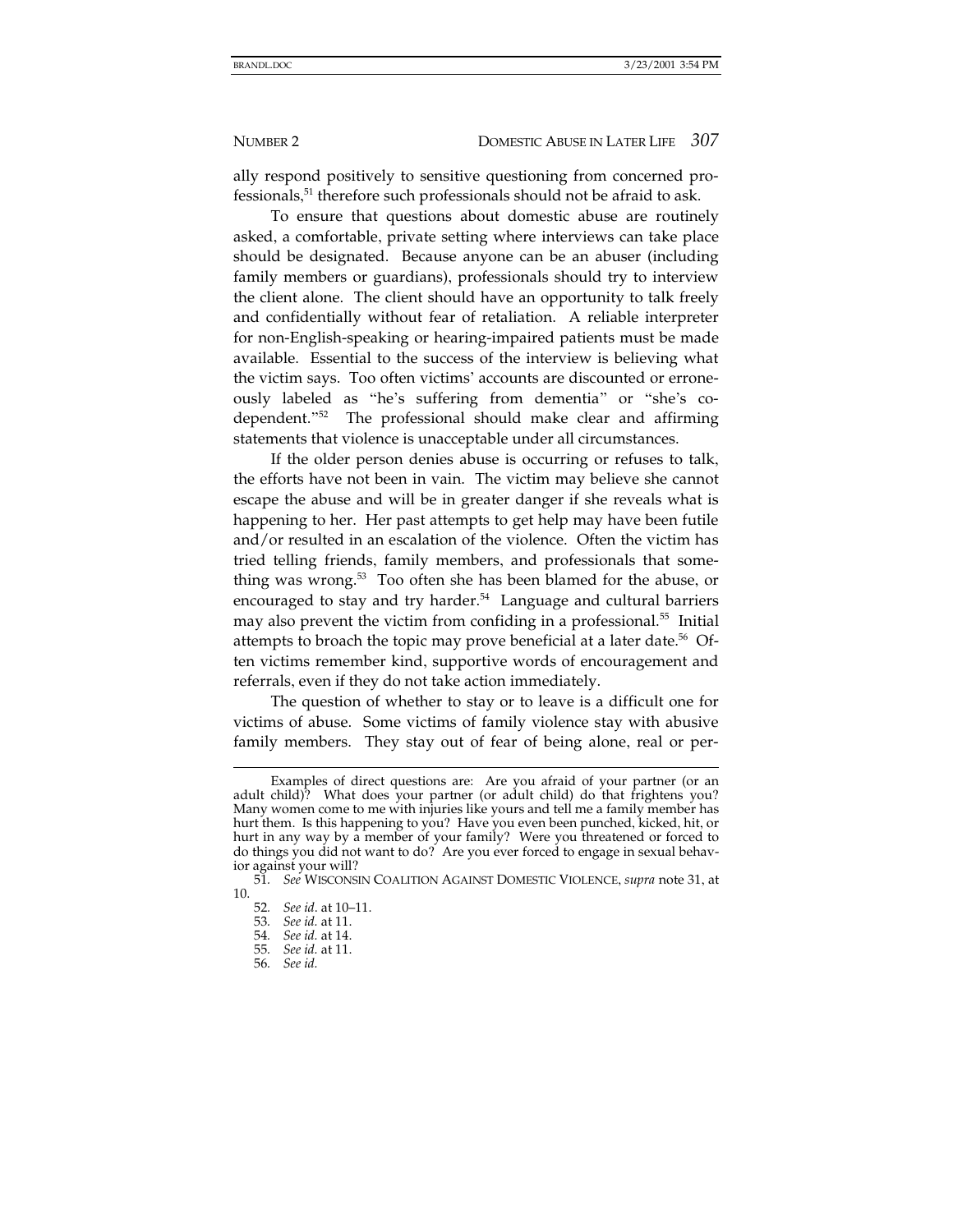ally respond positively to sensitive questioning from concerned professionals, 51 therefore such professionals should not be afraid to ask.

To ensure that questions about domestic abuse are routinely asked, a comfortable, private setting where interviews can take place should be designated. Because anyone can be an abuser (including family members or guardians), professionals should try to interview the client alone. The client should have an opportunity to talk freely and confidentially without fear of retaliation. A reliable interpreter for non-English-speaking or hearing-impaired patients must be made available. Essential to the success of the interview is believing what the victim says. Too often victims' accounts are discounted or erroneously labeled as "he's suffering from dementia" or "she's codependent."52 The professional should make clear and affirming statements that violence is unacceptable under all circumstances.

If the older person denies abuse is occurring or refuses to talk, the efforts have not been in vain. The victim may believe she cannot escape the abuse and will be in greater danger if she reveals what is happening to her. Her past attempts to get help may have been futile and/or resulted in an escalation of the violence. Often the victim has tried telling friends, family members, and professionals that something was wrong.<sup>53</sup> Too often she has been blamed for the abuse, or encouraged to stay and try harder.<sup>54</sup> Language and cultural barriers may also prevent the victim from confiding in a professional.<sup>55</sup> Initial attempts to broach the topic may prove beneficial at a later date.<sup>56</sup> Often victims remember kind, supportive words of encouragement and referrals, even if they do not take action immediately.

The question of whether to stay or to leave is a difficult one for victims of abuse. Some victims of family violence stay with abusive family members. They stay out of fear of being alone, real or per-

Examples of direct questions are: Are you afraid of your partner (or an adult child)? What does your partner (or adult child) do that frightens you? Many women come to me with injuries like yours and tell me a family member has hurt them. Is this happening to you? Have you even been punched, kicked, hit, or hurt in any way by a member of your family? Were you threatened or forced to do things you did not want to do? Are you ever forced to engage in sexual behavior against your will?

<sup>51</sup>*. See* WISCONSIN COALITION AGAINST DOMESTIC VIOLENCE, *supra* note 31, at 10.

<sup>52</sup>*. See id*. at 10–11.

<sup>53</sup>*. See id.* at 11.

<sup>54</sup>*. See id.* at 14.

<sup>55</sup>*. See id.* at 11.

<sup>56</sup>*. See id.*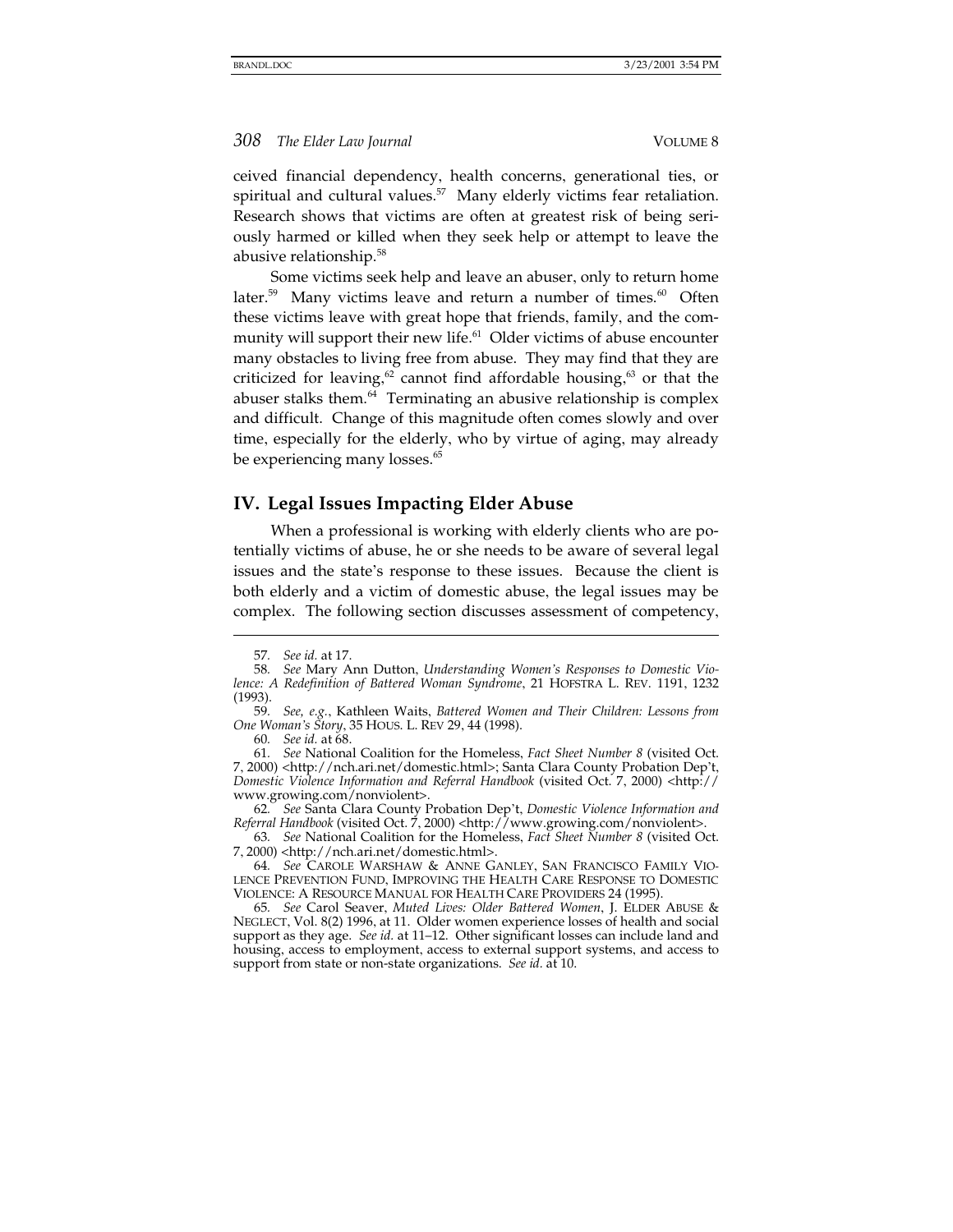ceived financial dependency, health concerns, generational ties, or spiritual and cultural values.<sup>57</sup> Many elderly victims fear retaliation. Research shows that victims are often at greatest risk of being seriously harmed or killed when they seek help or attempt to leave the abusive relationship.<sup>58</sup>

Some victims seek help and leave an abuser, only to return home later.<sup>59</sup> Many victims leave and return a number of times.<sup>60</sup> Often these victims leave with great hope that friends, family, and the community will support their new life.<sup>61</sup> Older victims of abuse encounter many obstacles to living free from abuse. They may find that they are criticized for leaving,  $62$  cannot find affordable housing,  $63$  or that the abuser stalks them. $64$  Terminating an abusive relationship is complex and difficult. Change of this magnitude often comes slowly and over time, especially for the elderly, who by virtue of aging, may already be experiencing many losses.<sup>65</sup>

## **IV. Legal Issues Impacting Elder Abuse**

When a professional is working with elderly clients who are potentially victims of abuse, he or she needs to be aware of several legal issues and the state's response to these issues. Because the client is both elderly and a victim of domestic abuse, the legal issues may be complex. The following section discusses assessment of competency,

 $\overline{a}$ 

60*. See id.* at 68.

61*. See* National Coalition for the Homeless, *Fact Sheet Number 8* (visited Oct. 7, 2000) <http://nch.ari.net/domestic.html>; Santa Clara County Probation Dep't, *Domestic Violence Information and Referral Handbook* (visited Oct. 7, 2000) <http:// www.growing.com/nonviolent>.

62*. See* Santa Clara County Probation Dep't, *Domestic Violence Information and Referral Handbook* (visited Oct. 7, 2000) <http://www.growing.com/nonviolent>.

63*. See* National Coalition for the Homeless, *Fact Sheet Number 8* (visited Oct. 7, 2000) <http://nch.ari.net/domestic.html>.

64*. See* CAROLE WARSHAW & ANNE GANLEY, SAN FRANCISCO FAMILY VIO-LENCE PREVENTION FUND, IMPROVING THE HEALTH CARE RESPONSE TO DOMESTIC VIOLENCE: A RESOURCE MANUAL FOR HEALTH CARE PROVIDERS 24 (1995).

65*. See* Carol Seaver, *Muted Lives: Older Battered Women*, J. ELDER ABUSE & NEGLECT, Vol. 8(2) 1996, at 11. Older women experience losses of health and social support as they age. *See id.* at 11–12. Other significant losses can include land and housing, access to employment, access to external support systems, and access to support from state or non-state organizations. *See id.* at 10.

<sup>57</sup>*. See id.* at 17.

<sup>58</sup>*. See* Mary Ann Dutton, *Understanding Women's Responses to Domestic Violence: A Redefinition of Battered Woman Syndrome*, 21 HOFSTRA L. REV. 1191, 1232 (1993).

<sup>59</sup>*. See, e.g.*, Kathleen Waits, *Battered Women and Their Children: Lessons from One Woman's Story*, 35 HOUS. L. REV 29, 44 (1998).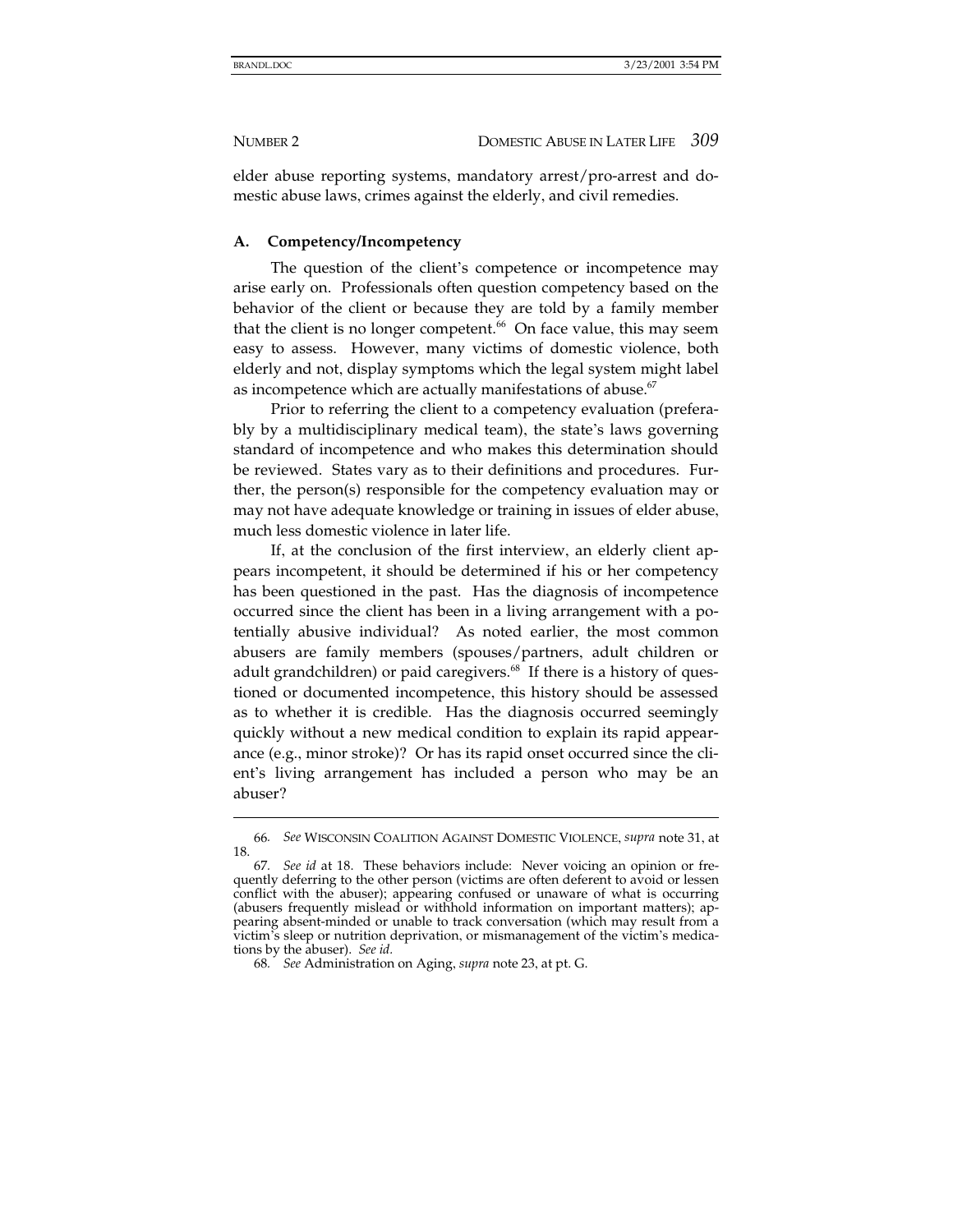-

NUMBER 2 DOMESTIC ABUSE IN LATER LIFE *309*

elder abuse reporting systems, mandatory arrest/pro-arrest and domestic abuse laws, crimes against the elderly, and civil remedies.

### **A. Competency/Incompetency**

The question of the client's competence or incompetence may arise early on. Professionals often question competency based on the behavior of the client or because they are told by a family member that the client is no longer competent.<sup>66</sup> On face value, this may seem easy to assess. However, many victims of domestic violence, both elderly and not, display symptoms which the legal system might label as incompetence which are actually manifestations of abuse.<sup>67</sup>

Prior to referring the client to a competency evaluation (preferably by a multidisciplinary medical team), the state's laws governing standard of incompetence and who makes this determination should be reviewed. States vary as to their definitions and procedures. Further, the person(s) responsible for the competency evaluation may or may not have adequate knowledge or training in issues of elder abuse, much less domestic violence in later life.

If, at the conclusion of the first interview, an elderly client appears incompetent, it should be determined if his or her competency has been questioned in the past. Has the diagnosis of incompetence occurred since the client has been in a living arrangement with a potentially abusive individual? As noted earlier, the most common abusers are family members (spouses/partners, adult children or adult grandchildren) or paid caregivers. $68$  If there is a history of questioned or documented incompetence, this history should be assessed as to whether it is credible. Has the diagnosis occurred seemingly quickly without a new medical condition to explain its rapid appearance (e.g., minor stroke)? Or has its rapid onset occurred since the client's living arrangement has included a person who may be an abuser?

<sup>66</sup>*. See* WISCONSIN COALITION AGAINST DOMESTIC VIOLENCE, *supra* note 31, at 18.

<sup>67</sup>*. See id* at 18. These behaviors include: Never voicing an opinion or frequently deferring to the other person (victims are often deferent to avoid or lessen conflict with the abuser); appearing confused or unaware of what is occurring (abusers frequently mislead or withhold information on important matters); appearing absent-minded or unable to track conversation (which may result from a victim's sleep or nutrition deprivation, or mismanagement of the victim's medications by the abuser). *See id.*

<sup>68</sup>*. See* Administration on Aging, *supra* note 23, at pt. G.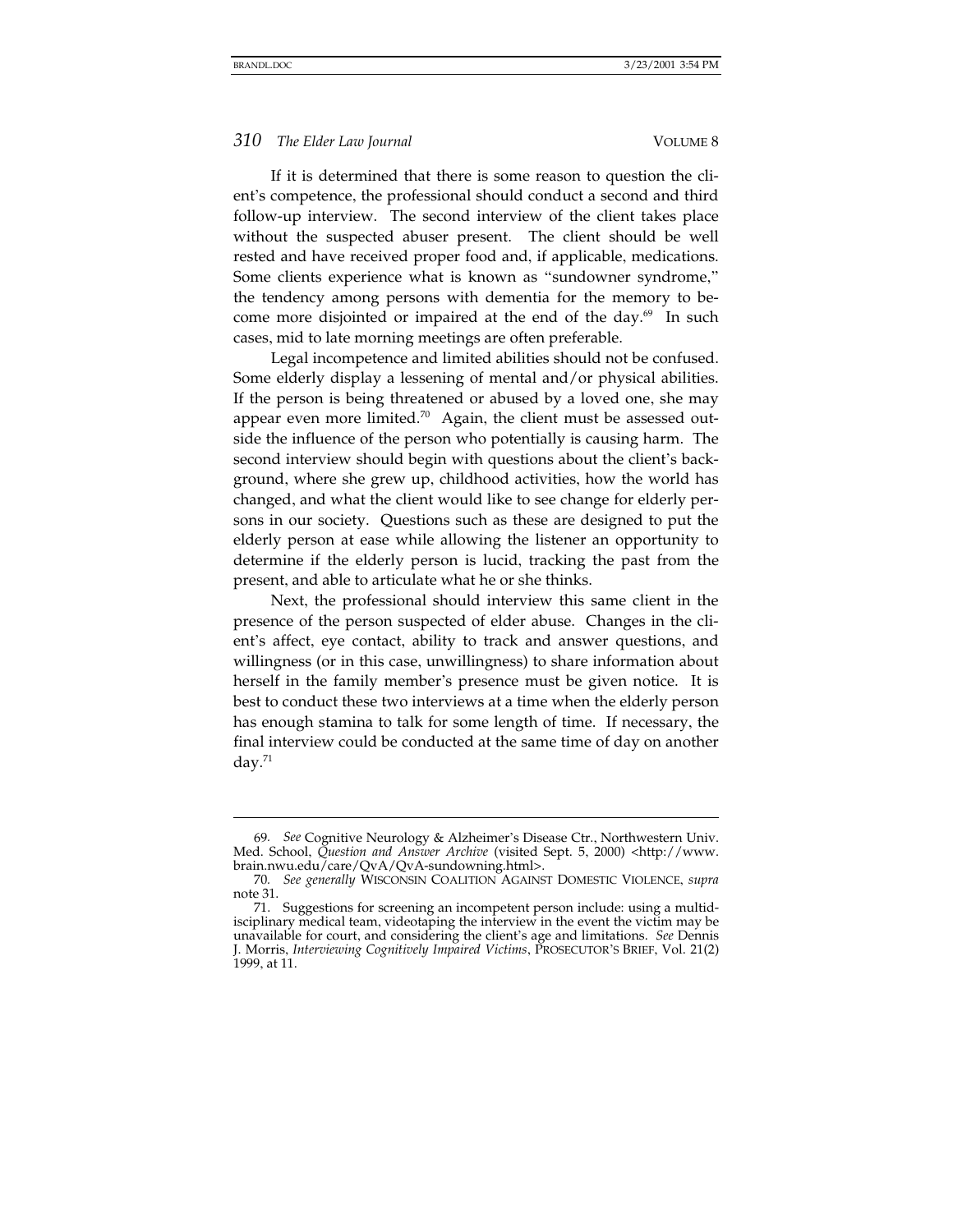$\overline{a}$ 

## *310 The Elder Law Journal* VOLUME 8

If it is determined that there is some reason to question the client's competence, the professional should conduct a second and third follow-up interview. The second interview of the client takes place without the suspected abuser present. The client should be well rested and have received proper food and, if applicable, medications. Some clients experience what is known as "sundowner syndrome," the tendency among persons with dementia for the memory to become more disjointed or impaired at the end of the day.<sup>69</sup> In such cases, mid to late morning meetings are often preferable.

Legal incompetence and limited abilities should not be confused. Some elderly display a lessening of mental and/or physical abilities. If the person is being threatened or abused by a loved one, she may appear even more limited.<sup>70</sup> Again, the client must be assessed outside the influence of the person who potentially is causing harm. The second interview should begin with questions about the client's background, where she grew up, childhood activities, how the world has changed, and what the client would like to see change for elderly persons in our society. Questions such as these are designed to put the elderly person at ease while allowing the listener an opportunity to determine if the elderly person is lucid, tracking the past from the present, and able to articulate what he or she thinks.

Next, the professional should interview this same client in the presence of the person suspected of elder abuse. Changes in the client's affect, eye contact, ability to track and answer questions, and willingness (or in this case, unwillingness) to share information about herself in the family member's presence must be given notice. It is best to conduct these two interviews at a time when the elderly person has enough stamina to talk for some length of time. If necessary, the final interview could be conducted at the same time of day on another day. $71$ 

<sup>69</sup>*. See* Cognitive Neurology & Alzheimer's Disease Ctr., Northwestern Univ. Med. School, *Question and Answer Archive* (visited Sept. 5, 2000) <http://www. brain.nwu.edu/care/QvA/QvA-sundowning.html>.

<sup>70</sup>*. See generally* WISCONSIN COALITION AGAINST DOMESTIC VIOLENCE, *supra* note 31.

 <sup>71.</sup> Suggestions for screening an incompetent person include: using a multidisciplinary medical team, videotaping the interview in the event the victim may be unavailable for court, and considering the client's age and limitations. *See* Dennis J. Morris, *Interviewing Cognitively Impaired Victims*, PROSECUTOR'S BRIEF, Vol. 21(2) 1999, at 11.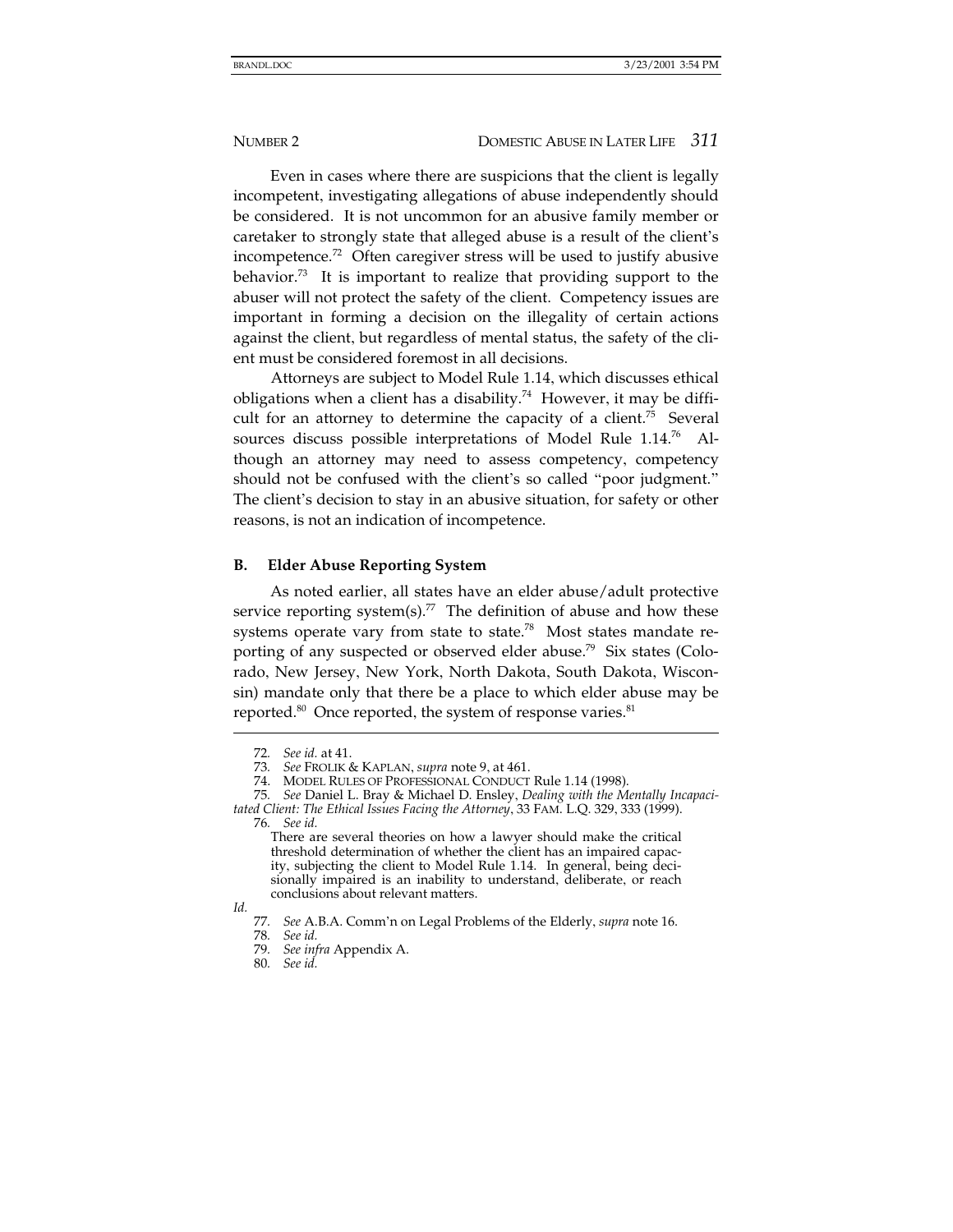Even in cases where there are suspicions that the client is legally incompetent, investigating allegations of abuse independently should be considered. It is not uncommon for an abusive family member or caretaker to strongly state that alleged abuse is a result of the client's incompetence.<sup>72</sup> Often caregiver stress will be used to justify abusive behavior.<sup>73</sup> It is important to realize that providing support to the abuser will not protect the safety of the client. Competency issues are important in forming a decision on the illegality of certain actions against the client, but regardless of mental status, the safety of the client must be considered foremost in all decisions.

Attorneys are subject to Model Rule 1.14, which discusses ethical obligations when a client has a disability.<sup>74</sup> However, it may be difficult for an attorney to determine the capacity of a client.<sup>75</sup> Several sources discuss possible interpretations of Model Rule 1.14.<sup>76</sup> Although an attorney may need to assess competency, competency should not be confused with the client's so called "poor judgment." The client's decision to stay in an abusive situation, for safety or other reasons, is not an indication of incompetence.

### **B. Elder Abuse Reporting System**

As noted earlier, all states have an elder abuse/adult protective service reporting system(s).<sup>77</sup> The definition of abuse and how these systems operate vary from state to state.<sup>78</sup> Most states mandate reporting of any suspected or observed elder abuse.<sup>79</sup> Six states (Colorado, New Jersey, New York, North Dakota, South Dakota, Wisconsin) mandate only that there be a place to which elder abuse may be reported. $80$  Once reported, the system of response varies. $81$ 

<sup>72</sup>*. See id.* at 41.

<sup>73</sup>*. See* FROLIK & KAPLAN, *supra* note 9, at 461.

 <sup>74.</sup> MODEL RULES OF PROFESSIONAL CONDUCT Rule 1.14 (1998).

<sup>75</sup>*. See* Daniel L. Bray & Michael D. Ensley, *Dealing with the Mentally Incapacitated Client: The Ethical Issues Facing the Attorney*, 33 FAM. L.Q. 329, 333 (1999).

<sup>76</sup>*. See id.*

There are several theories on how a lawyer should make the critical threshold determination of whether the client has an impaired capacity, subjecting the client to Model Rule 1.14. In general, being decisionally impaired is an inability to understand, deliberate, or reach conclusions about relevant matters.

*Id.*

<sup>77</sup>*. See* A.B.A. Comm'n on Legal Problems of the Elderly, *supra* note 16.

<sup>78</sup>*. See id.*

<sup>79</sup>*. See infra* Appendix A.

<sup>80</sup>*. See id.*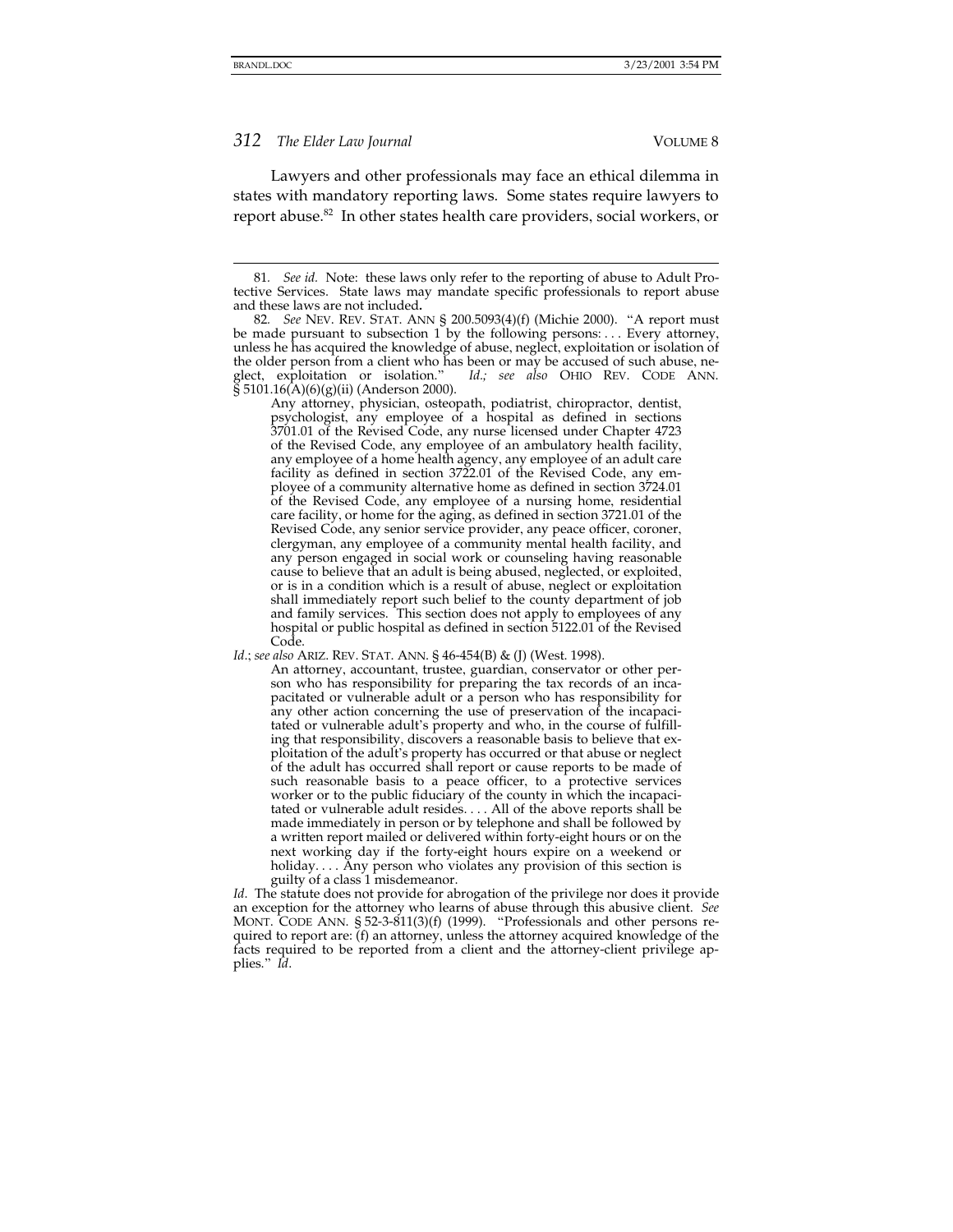$\overline{a}$ 

*312 The Elder Law Journal* VOLUME 8

Lawyers and other professionals may face an ethical dilemma in states with mandatory reporting laws. Some states require lawyers to report abuse.<sup>82</sup> In other states health care providers, social workers, or

Any attorney, physician, osteopath, podiatrist, chiropractor, dentist, psychologist, any employee of a hospital as defined in sections 3701.01 of the Revised Code, any nurse licensed under Chapter 4723 of the Revised Code, any employee of an ambulatory health facility, any employee of a home health agency, any employee of an adult care facility as defined in section 3722.01 of the Revised Code, any employee of a community alternative home as defined in section 3724.01 of the Revised Code, any employee of a nursing home, residential care facility, or home for the aging, as defined in section 3721.01 of the Revised Code, any senior service provider, any peace officer, coroner, clergyman, any employee of a community mental health facility, and any person engaged in social work or counseling having reasonable cause to believe that an adult is being abused, neglected, or exploited, or is in a condition which is a result of abuse, neglect or exploitation shall immediately report such belief to the county department of job and family services. This section does not apply to employees of any hospital or public hospital as defined in section 5122.01 of the Revised Code.

*Id*.; *see also* ARIZ. REV. STAT. ANN. § 46-454(B) & (J) (West. 1998).

An attorney, accountant, trustee, guardian, conservator or other person who has responsibility for preparing the tax records of an incapacitated or vulnerable adult or a person who has responsibility for any other action concerning the use of preservation of the incapacitated or vulnerable adult's property and who, in the course of fulfilling that responsibility, discovers a reasonable basis to believe that exploitation of the adult's property has occurred or that abuse or neglect of the adult has occurred shall report or cause reports to be made of such reasonable basis to a peace officer, to a protective services worker or to the public fiduciary of the county in which the incapacitated or vulnerable adult resides. . . . All of the above reports shall be made immediately in person or by telephone and shall be followed by a written report mailed or delivered within forty-eight hours or on the next working day if the forty-eight hours expire on a weekend or holiday.... Any person who violates any provision of this section is guilty of a class 1 misdemeanor.

*Id*. The statute does not provide for abrogation of the privilege nor does it provide an exception for the attorney who learns of abuse through this abusive client. *See* MONT. CODE ANN. § 52-3-811(3)(f) (1999). "Professionals and other persons required to report are: (f) an attorney, unless the attorney acquired knowledge of the facts required to be reported from a client and the attorney-client privilege applies." *Id*.

*See id.* Note: these laws only refer to the reporting of abuse to Adult Protective Services. State laws may mandate specific professionals to report abuse and these laws are not included**.** 

<sup>82</sup>*. See* NEV. REV. STAT. ANN § 200.5093(4)(f) (Michie 2000). "A report must be made pursuant to subsection 1 by the following persons: . . . Every attorney, unless he has acquired the knowledge of abuse, neglect, exploitation or isolation of the older person from a client who has been or may be accused of such abuse, neglect, exploitation or isolation." *Id.; see also* OHIO REV. CODE ANN.  $\check{S}$  5101.16(A)(6)(g)(ii) (Anderson 2000).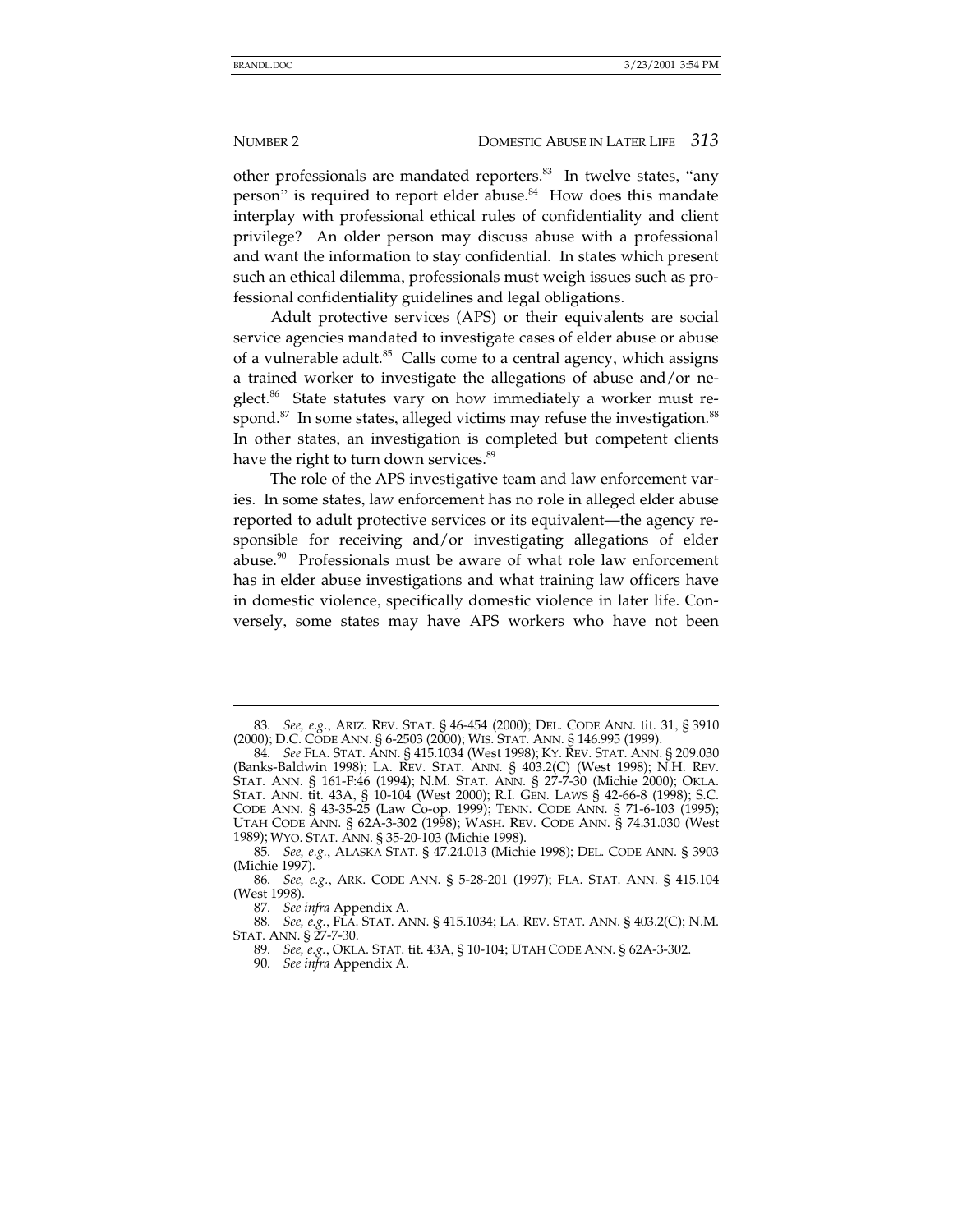other professionals are mandated reporters.<sup>83</sup> In twelve states, "any person" is required to report elder abuse.<sup>84</sup> How does this mandate interplay with professional ethical rules of confidentiality and client privilege? An older person may discuss abuse with a professional and want the information to stay confidential. In states which present such an ethical dilemma, professionals must weigh issues such as professional confidentiality guidelines and legal obligations.

Adult protective services (APS) or their equivalents are social service agencies mandated to investigate cases of elder abuse or abuse of a vulnerable adult.<sup>85</sup> Calls come to a central agency, which assigns a trained worker to investigate the allegations of abuse and/or neglect.<sup>86</sup> State statutes vary on how immediately a worker must respond. $87$  In some states, alleged victims may refuse the investigation. $88$ In other states, an investigation is completed but competent clients have the right to turn down services.<sup>89</sup>

The role of the APS investigative team and law enforcement varies. In some states, law enforcement has no role in alleged elder abuse reported to adult protective services or its equivalent—the agency responsible for receiving and/or investigating allegations of elder abuse.<sup>90</sup> Professionals must be aware of what role law enforcement has in elder abuse investigations and what training law officers have in domestic violence, specifically domestic violence in later life. Conversely, some states may have APS workers who have not been

<sup>83</sup>*. See, e.g.*, ARIZ. REV. STAT. § 46-454 (2000); DEL. CODE ANN. tit. 31, § 3910 (2000); D.C. CODE ANN. § 6-2503 (2000); WIS. STAT. ANN. § 146.995 (1999).

<sup>84</sup>*. See* FLA. STAT. ANN. § 415.1034 (West 1998); KY. REV. STAT. ANN. § 209.030 (Banks-Baldwin 1998); LA. REV. STAT. ANN. § 403.2(C) (West 1998); N.H. REV. STAT. ANN. § 161-F:46 (1994); N.M. STAT. ANN. § 27-7-30 (Michie 2000); OKLA. STAT. ANN. tit. 43A, § 10-104 (West 2000); R.I. GEN. LAWS § 42-66-8 (1998); S.C. CODE ANN. § 43-35-25 (Law Co-op. 1999); TENN. CODE ANN. § 71-6-103 (1995); UTAH CODE ANN. § 62A-3-302 (1998); WASH. REV. CODE ANN. § 74.31.030 (West 1989); WYO. STAT. ANN. § 35-20-103 (Michie 1998).

<sup>85</sup>*. See, e.g.*, ALASKA STAT. § 47.24.013 (Michie 1998); DEL. CODE ANN. § 3903 (Michie 1997).

<sup>86</sup>*. See, e.g.*, ARK. CODE ANN. § 5-28-201 (1997); FLA. STAT. ANN. § 415.104 (West 1998).

<sup>87</sup>*. See infra* Appendix A.

<sup>88</sup>*. See, e.g.*, FLA. STAT. ANN. § 415.1034; LA. REV. STAT. ANN. § 403.2(C); N.M. STAT. ANN. § 27-7-30.

<sup>89</sup>*. See, e.g.*, OKLA. STAT. tit. 43A, § 10-104; UTAH CODE ANN. § 62A-3-302.

<sup>90</sup>*. See infra* Appendix A.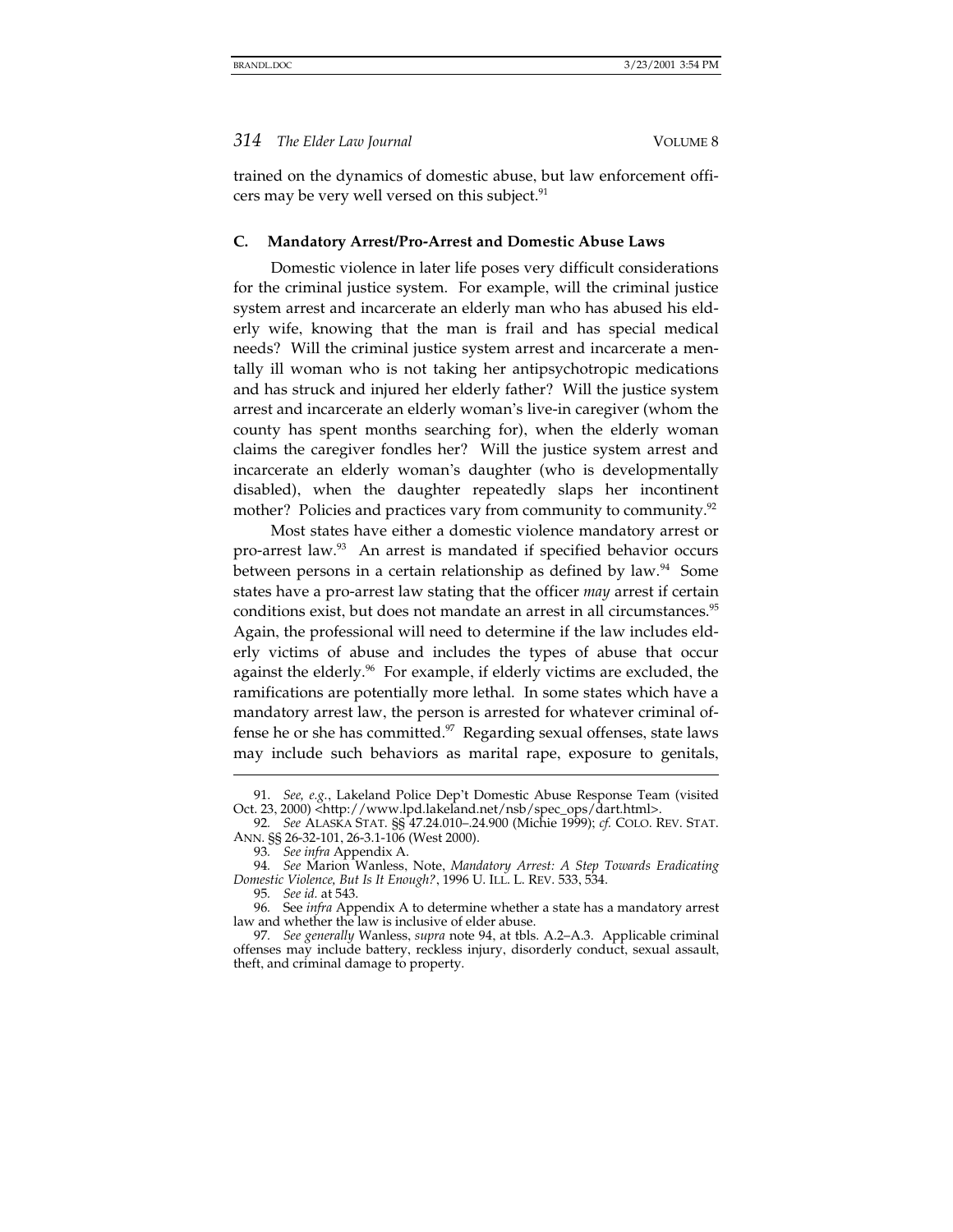trained on the dynamics of domestic abuse, but law enforcement officers may be very well versed on this subject. $91$ 

### **C. Mandatory Arrest/Pro-Arrest and Domestic Abuse Laws**

Domestic violence in later life poses very difficult considerations for the criminal justice system. For example, will the criminal justice system arrest and incarcerate an elderly man who has abused his elderly wife, knowing that the man is frail and has special medical needs? Will the criminal justice system arrest and incarcerate a mentally ill woman who is not taking her antipsychotropic medications and has struck and injured her elderly father? Will the justice system arrest and incarcerate an elderly woman's live-in caregiver (whom the county has spent months searching for), when the elderly woman claims the caregiver fondles her? Will the justice system arrest and incarcerate an elderly woman's daughter (who is developmentally disabled), when the daughter repeatedly slaps her incontinent mother? Policies and practices vary from community to community.<sup>92</sup>

Most states have either a domestic violence mandatory arrest or pro-arrest law.93 An arrest is mandated if specified behavior occurs between persons in a certain relationship as defined by law. $94$  Some states have a pro-arrest law stating that the officer *may* arrest if certain conditions exist, but does not mandate an arrest in all circumstances.<sup>95</sup> Again, the professional will need to determine if the law includes elderly victims of abuse and includes the types of abuse that occur against the elderly.<sup>96</sup> For example, if elderly victims are excluded, the ramifications are potentially more lethal. In some states which have a mandatory arrest law, the person is arrested for whatever criminal offense he or she has committed. $97$  Regarding sexual offenses, state laws may include such behaviors as marital rape, exposure to genitals,

 <sup>91.</sup> *See, e.g.*, Lakeland Police Dep't Domestic Abuse Response Team (visited Oct. 23, 2000) <http://www.lpd.lakeland.net/nsb/spec\_ops/dart.html>.

<sup>92</sup>*. See* ALASKA STAT. §§ 47.24.010–.24.900 (Michie 1999); *cf.* COLO. REV. STAT. ANN. §§ 26-32-101, 26-3.1-106 (West 2000).

<sup>93</sup>*. See infra* Appendix A.

<sup>94</sup>*. See* Marion Wanless, Note, *Mandatory Arrest: A Step Towards Eradicating Domestic Violence, But Is It Enough?*, 1996 U. ILL. L. REV. 533, 534.

<sup>95</sup>*. See id.* at 543.

<sup>96</sup>*.* See *infra* Appendix A to determine whether a state has a mandatory arrest law and whether the law is inclusive of elder abuse.

<sup>97</sup>*. See generally* Wanless, *supra* note 94, at tbls. A.2–A.3. Applicable criminal offenses may include battery, reckless injury, disorderly conduct, sexual assault, theft, and criminal damage to property.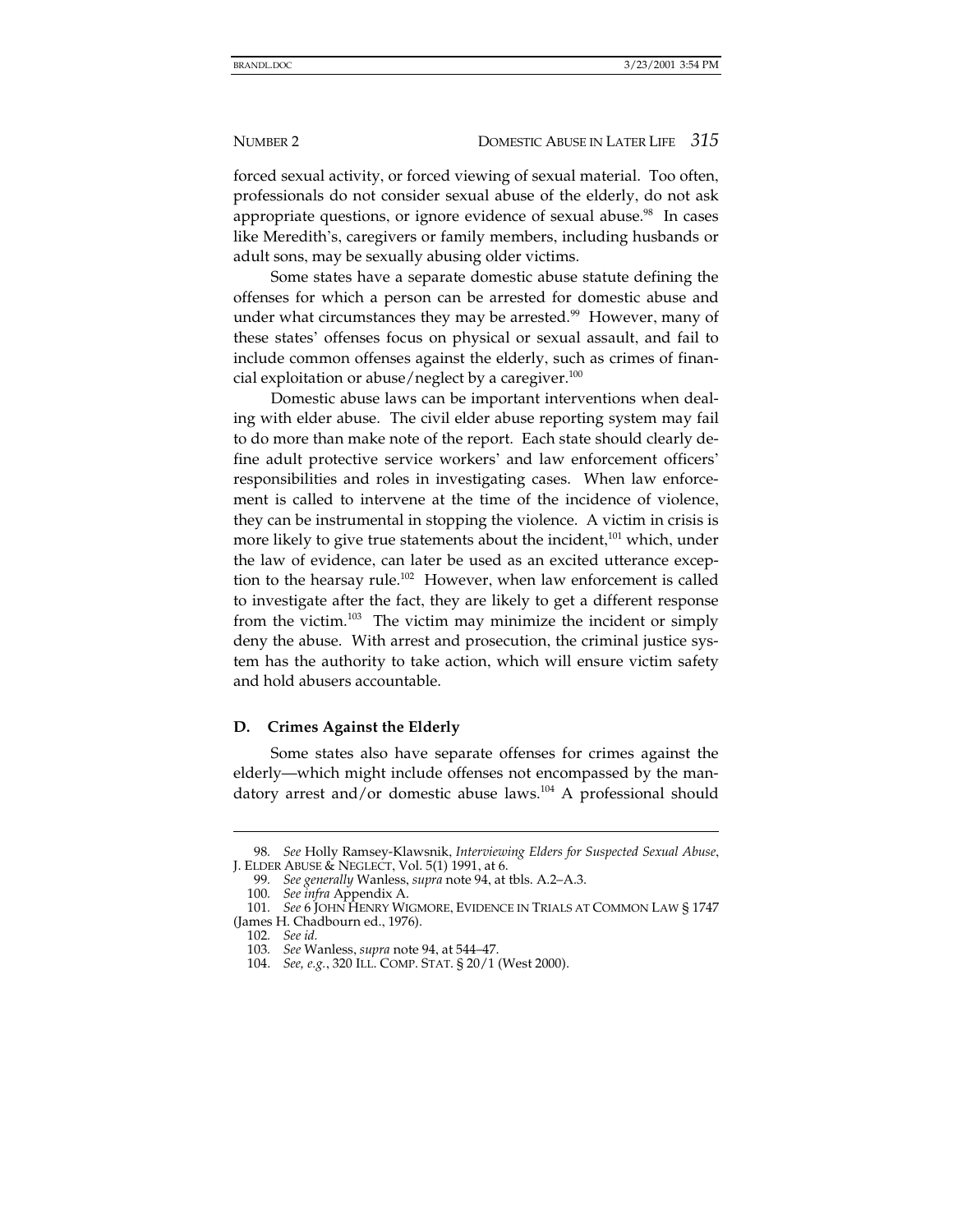forced sexual activity, or forced viewing of sexual material. Too often, professionals do not consider sexual abuse of the elderly, do not ask appropriate questions, or ignore evidence of sexual abuse.<sup>98</sup> In cases like Meredith's, caregivers or family members, including husbands or adult sons, may be sexually abusing older victims.

Some states have a separate domestic abuse statute defining the offenses for which a person can be arrested for domestic abuse and under what circumstances they may be arrested. $99$  However, many of these states' offenses focus on physical or sexual assault, and fail to include common offenses against the elderly, such as crimes of financial exploitation or abuse/neglect by a caregiver. $100$ 

Domestic abuse laws can be important interventions when dealing with elder abuse. The civil elder abuse reporting system may fail to do more than make note of the report. Each state should clearly define adult protective service workers' and law enforcement officers' responsibilities and roles in investigating cases. When law enforcement is called to intervene at the time of the incidence of violence, they can be instrumental in stopping the violence. A victim in crisis is more likely to give true statements about the incident,<sup>101</sup> which, under the law of evidence, can later be used as an excited utterance exception to the hearsay rule.<sup>102</sup> However, when law enforcement is called to investigate after the fact, they are likely to get a different response from the victim. $103$  The victim may minimize the incident or simply deny the abuse. With arrest and prosecution, the criminal justice system has the authority to take action, which will ensure victim safety and hold abusers accountable.

## **D. Crimes Against the Elderly**

Some states also have separate offenses for crimes against the elderly—which might include offenses not encompassed by the mandatory arrest and/or domestic abuse laws.<sup>104</sup> A professional should

<sup>98</sup>*. See* Holly Ramsey-Klawsnik, *Interviewing Elders for Suspected Sexual Abuse*, J. ELDER ABUSE & NEGLECT, Vol. 5(1) 1991, at 6.

<sup>99</sup>*. See generally* Wanless, *supra* note 94, at tbls. A.2–A.3.

<sup>100</sup>*. See infra* Appendix A.

<sup>101</sup>*. See* 6 JOHN HENRY WIGMORE, EVIDENCE IN TRIALS AT COMMON LAW § 1747 (James H. Chadbourn ed., 1976).

<sup>102</sup>*. See id.*

<sup>103</sup>*. See* Wanless, *supra* note 94, at 544–47.

 <sup>104.</sup> *See, e.g.*, 320 ILL. COMP. STAT. § 20/1 (West 2000).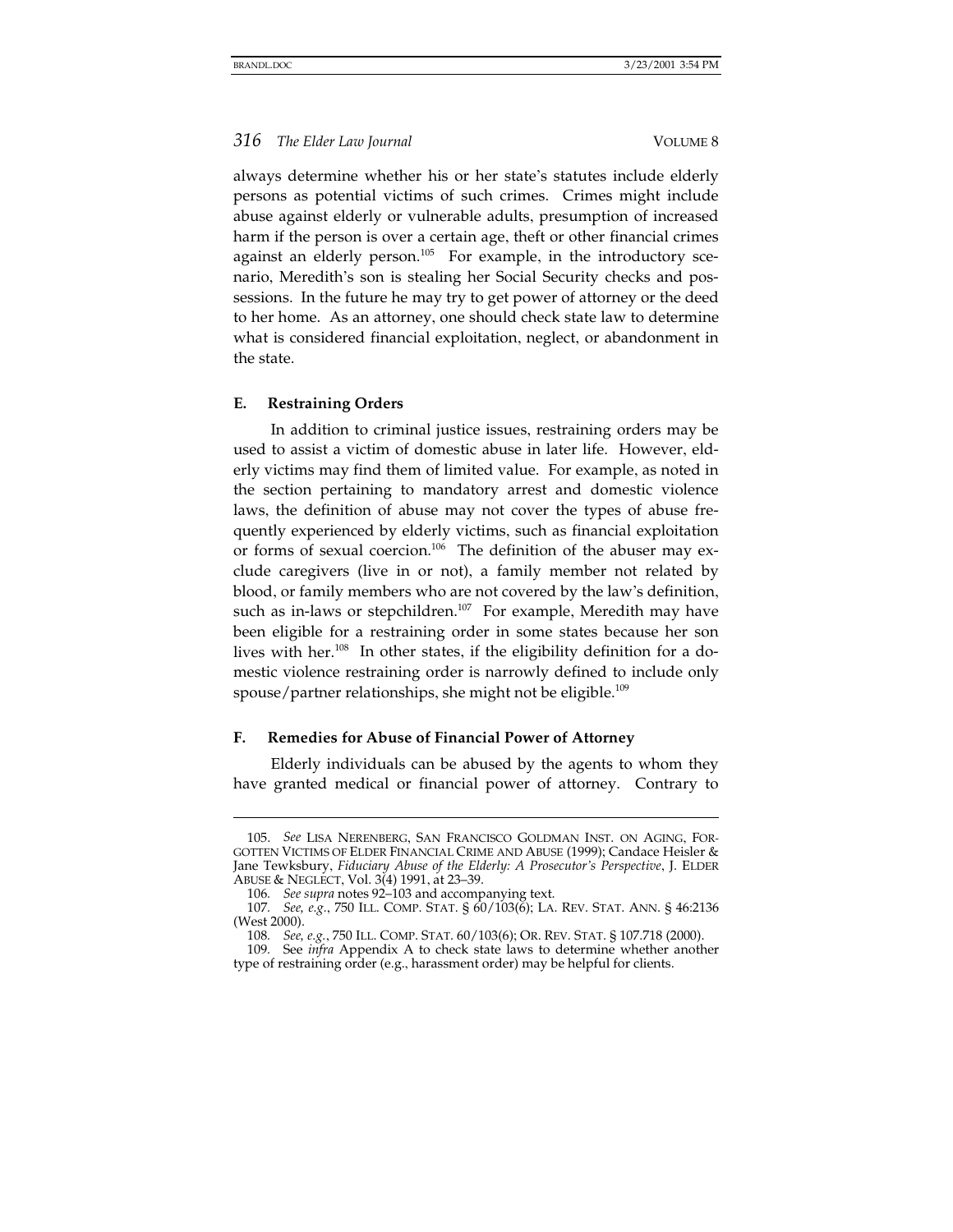always determine whether his or her state's statutes include elderly persons as potential victims of such crimes. Crimes might include abuse against elderly or vulnerable adults, presumption of increased harm if the person is over a certain age, theft or other financial crimes against an elderly person.<sup>105</sup> For example, in the introductory scenario, Meredith's son is stealing her Social Security checks and possessions. In the future he may try to get power of attorney or the deed to her home. As an attorney, one should check state law to determine what is considered financial exploitation, neglect, or abandonment in the state.

## **E. Restraining Orders**

-

In addition to criminal justice issues, restraining orders may be used to assist a victim of domestic abuse in later life. However, elderly victims may find them of limited value. For example, as noted in the section pertaining to mandatory arrest and domestic violence laws, the definition of abuse may not cover the types of abuse frequently experienced by elderly victims, such as financial exploitation or forms of sexual coercion.<sup>106</sup> The definition of the abuser may exclude caregivers (live in or not), a family member not related by blood, or family members who are not covered by the law's definition, such as in-laws or stepchildren.<sup>107</sup> For example, Meredith may have been eligible for a restraining order in some states because her son lives with her.<sup>108</sup> In other states, if the eligibility definition for a domestic violence restraining order is narrowly defined to include only spouse/partner relationships, she might not be eligible.<sup>109</sup>

### **F. Remedies for Abuse of Financial Power of Attorney**

Elderly individuals can be abused by the agents to whom they have granted medical or financial power of attorney. Contrary to

 <sup>105.</sup> *See* LISA NERENBERG, SAN FRANCISCO GOLDMAN INST. ON AGING, FOR-GOTTEN VICTIMS OF ELDER FINANCIAL CRIME AND ABUSE (1999); Candace Heisler & Jane Tewksbury, *Fiduciary Abuse of the Elderly: A Prosecutor's Perspective*, J. ELDER ABUSE & NEGLECT, Vol. 3(4) 1991, at 23–39.

<sup>106</sup>*. See supra* notes 92–103 and accompanying text.

<sup>107</sup>*. See, e.g.*, 750 ILL. COMP. STAT. § 60/103(6); LA. REV. STAT. ANN. § 46:2136 (West 2000).

<sup>108</sup>*. See, e.g.*, 750 ILL. COMP. STAT. 60/103(6); OR. REV. STAT. § 107.718 (2000).

<sup>109</sup>*.* See *infra* Appendix A to check state laws to determine whether another type of restraining order (e.g., harassment order) may be helpful for clients.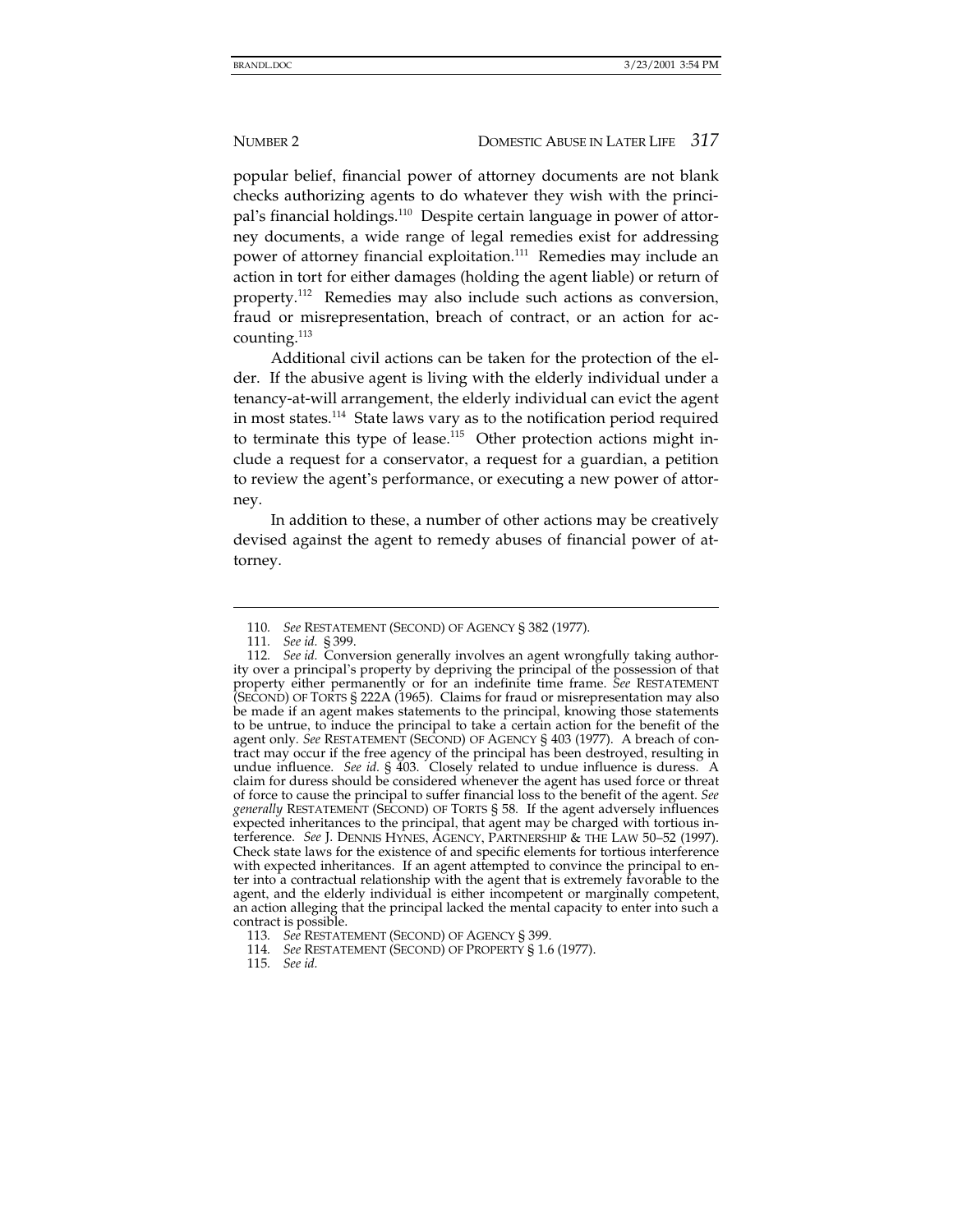popular belief, financial power of attorney documents are not blank checks authorizing agents to do whatever they wish with the principal's financial holdings.110 Despite certain language in power of attorney documents, a wide range of legal remedies exist for addressing power of attorney financial exploitation.<sup>111</sup> Remedies may include an action in tort for either damages (holding the agent liable) or return of property.112 Remedies may also include such actions as conversion, fraud or misrepresentation, breach of contract, or an action for accounting. $^{113}$ 

Additional civil actions can be taken for the protection of the elder. If the abusive agent is living with the elderly individual under a tenancy-at-will arrangement, the elderly individual can evict the agent in most states.114 State laws vary as to the notification period required to terminate this type of lease.<sup>115</sup> Other protection actions might include a request for a conservator, a request for a guardian, a petition to review the agent's performance, or executing a new power of attorney.

In addition to these, a number of other actions may be creatively devised against the agent to remedy abuses of financial power of attorney.

<sup>110</sup>*. See* RESTATEMENT (SECOND) OF AGENCY § 382 (1977).

<sup>111</sup>*. See id.* § 399.

<sup>112</sup>*. See id.* Conversion generally involves an agent wrongfully taking authority over a principal's property by depriving the principal of the possession of that property either permanently or for an indefinite time frame. *See* RESTATEMENT (SECOND) OF TORTS § 222A (1965). Claims for fraud or misrepresentation may also be made if an agent makes statements to the principal, knowing those statements to be untrue, to induce the principal to take a certain action for the benefit of the agent only. *See* RESTATEMENT (SECOND) OF AGENCY § 403 (1977). A breach of contract may occur if the free agency of the principal has been destroyed, resulting in undue influence. *See id.* § 403. Closely related to undue influence is duress. A claim for duress should be considered whenever the agent has used force or threat of force to cause the principal to suffer financial loss to the benefit of the agent. *See generally* RESTATEMENT (SECOND) OF TORTS § 58. If the agent adversely influences expected inheritances to the principal, that agent may be charged with tortious interference. *See* J. DENNIS HYNES, AGENCY, PARTNERSHIP & THE LAW 50–52 (1997). Check state laws for the existence of and specific elements for tortious interference with expected inheritances. If an agent attempted to convince the principal to enter into a contractual relationship with the agent that is extremely favorable to the agent, and the elderly individual is either incompetent or marginally competent, an action alleging that the principal lacked the mental capacity to enter into such a contract is possible.

<sup>113</sup>*. See* RESTATEMENT (SECOND) OF AGENCY § 399.

<sup>114</sup>*. See* RESTATEMENT (SECOND) OF PROPERTY § 1.6 (1977).

<sup>115</sup>*. See id.*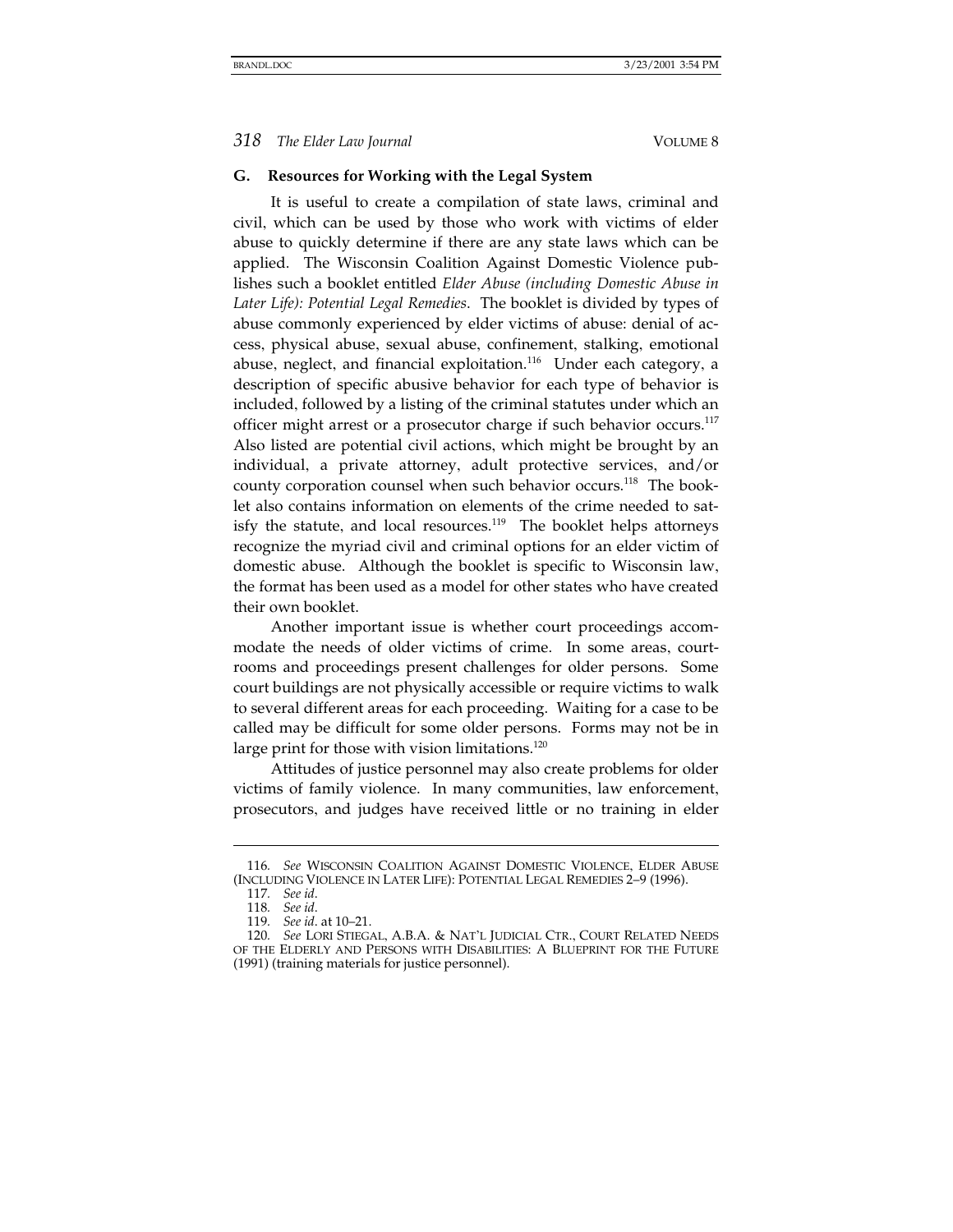### **G. Resources for Working with the Legal System**

It is useful to create a compilation of state laws, criminal and civil, which can be used by those who work with victims of elder abuse to quickly determine if there are any state laws which can be applied. The Wisconsin Coalition Against Domestic Violence publishes such a booklet entitled *Elder Abuse (including Domestic Abuse in Later Life): Potential Legal Remedies*. The booklet is divided by types of abuse commonly experienced by elder victims of abuse: denial of access, physical abuse, sexual abuse, confinement, stalking, emotional abuse, neglect, and financial exploitation.<sup>116</sup> Under each category, a description of specific abusive behavior for each type of behavior is included, followed by a listing of the criminal statutes under which an officer might arrest or a prosecutor charge if such behavior occurs.<sup>117</sup> Also listed are potential civil actions, which might be brought by an individual, a private attorney, adult protective services, and/or county corporation counsel when such behavior occurs.<sup>118</sup> The booklet also contains information on elements of the crime needed to satisfy the statute, and local resources.<sup>119</sup> The booklet helps attorneys recognize the myriad civil and criminal options for an elder victim of domestic abuse. Although the booklet is specific to Wisconsin law, the format has been used as a model for other states who have created their own booklet.

Another important issue is whether court proceedings accommodate the needs of older victims of crime. In some areas, courtrooms and proceedings present challenges for older persons. Some court buildings are not physically accessible or require victims to walk to several different areas for each proceeding. Waiting for a case to be called may be difficult for some older persons. Forms may not be in large print for those with vision limitations. $120$ 

Attitudes of justice personnel may also create problems for older victims of family violence. In many communities, law enforcement, prosecutors, and judges have received little or no training in elder

<sup>116</sup>*. See* WISCONSIN COALITION AGAINST DOMESTIC VIOLENCE, ELDER ABUSE (INCLUDING VIOLENCE IN LATER LIFE): POTENTIAL LEGAL REMEDIES 2–9 (1996).

<sup>117</sup>*. See id*.

<sup>118</sup>*. See id*.

<sup>119</sup>*. See id*. at 10–21.

<sup>120</sup>*. See* LORI STIEGAL, A.B.A. & NAT'L JUDICIAL CTR., COURT RELATED NEEDS OF THE ELDERLY AND PERSONS WITH DISABILITIES: A BLUEPRINT FOR THE FUTURE (1991) (training materials for justice personnel).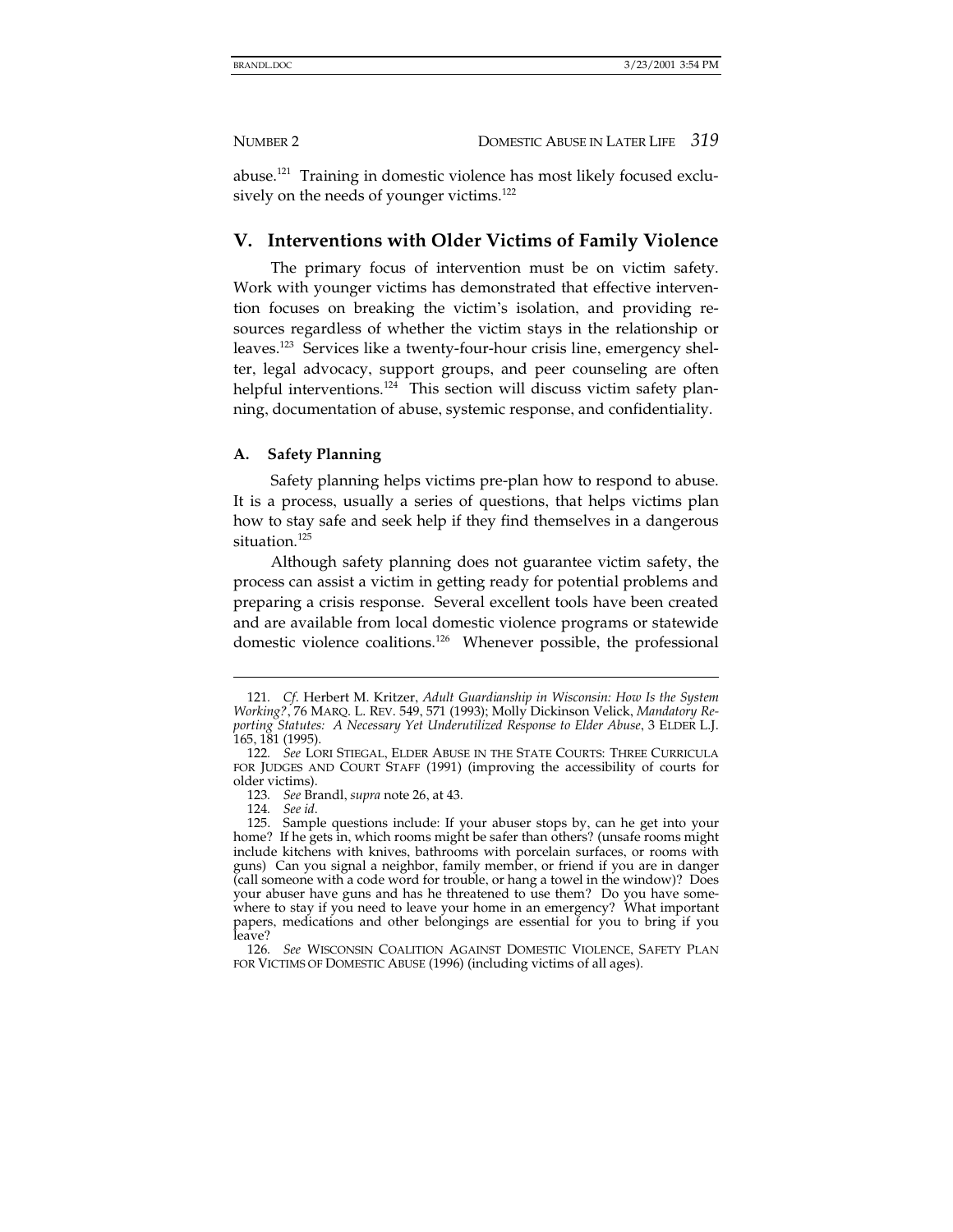abuse.121 Training in domestic violence has most likely focused exclusively on the needs of younger victims.<sup>122</sup>

## **V. Interventions with Older Victims of Family Violence**

The primary focus of intervention must be on victim safety. Work with younger victims has demonstrated that effective intervention focuses on breaking the victim's isolation, and providing resources regardless of whether the victim stays in the relationship or leaves.123 Services like a twenty-four-hour crisis line, emergency shelter, legal advocacy, support groups, and peer counseling are often helpful interventions.<sup>124</sup> This section will discuss victim safety planning, documentation of abuse, systemic response, and confidentiality.

### **A. Safety Planning**

Safety planning helps victims pre-plan how to respond to abuse. It is a process, usually a series of questions, that helps victims plan how to stay safe and seek help if they find themselves in a dangerous situation.<sup>125</sup>

Although safety planning does not guarantee victim safety, the process can assist a victim in getting ready for potential problems and preparing a crisis response. Several excellent tools have been created and are available from local domestic violence programs or statewide domestic violence coalitions.126 Whenever possible, the professional

<sup>121</sup>*. Cf*. Herbert M. Kritzer, *Adult Guardianship in Wisconsin: How Is the System Working?*, 76 MARQ. L. REV. 549, 571 (1993); Molly Dickinson Velick, *Mandatory Reporting Statutes: A Necessary Yet Underutilized Response to Elder Abuse*, 3 ELDER L.J. 165, 181 (1995).

<sup>122</sup>*. See* LORI STIEGAL, ELDER ABUSE IN THE STATE COURTS: THREE CURRICULA FOR JUDGES AND COURT STAFF (1991) (improving the accessibility of courts for older victims).

<sup>123</sup>*. See* Brandl, *supra* note 26, at 43.

<sup>124</sup>*. See id*.

 <sup>125.</sup> Sample questions include: If your abuser stops by, can he get into your home? If he gets in, which rooms might be safer than others? (unsafe rooms might include kitchens with knives, bathrooms with porcelain surfaces, or rooms with guns) Can you signal a neighbor, family member, or friend if you are in danger (call someone with a code word for trouble, or hang a towel in the window)? Does your abuser have guns and has he threatened to use them? Do you have somewhere to stay if you need to leave your home in an emergency? What important papers, medications and other belongings are essential for you to bring if you leave?

<sup>126</sup>*. See* WISCONSIN COALITION AGAINST DOMESTIC VIOLENCE, SAFETY PLAN FOR VICTIMS OF DOMESTIC ABUSE (1996) (including victims of all ages).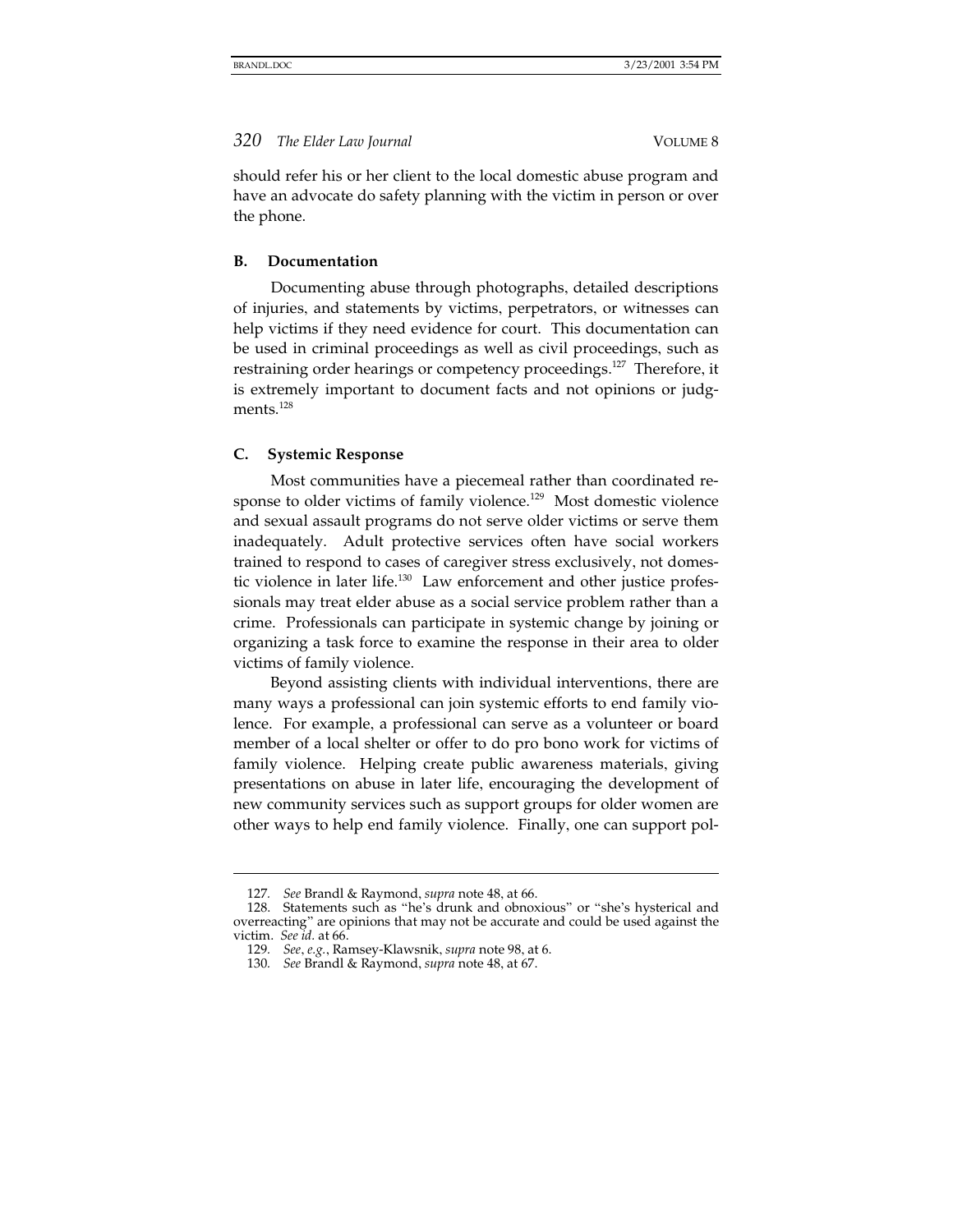should refer his or her client to the local domestic abuse program and have an advocate do safety planning with the victim in person or over the phone.

### **B. Documentation**

Documenting abuse through photographs, detailed descriptions of injuries, and statements by victims, perpetrators, or witnesses can help victims if they need evidence for court. This documentation can be used in criminal proceedings as well as civil proceedings, such as restraining order hearings or competency proceedings.<sup>127</sup> Therefore, it is extremely important to document facts and not opinions or judgments.<sup>128</sup>

### **C. Systemic Response**

Most communities have a piecemeal rather than coordinated response to older victims of family violence.<sup>129</sup> Most domestic violence and sexual assault programs do not serve older victims or serve them inadequately. Adult protective services often have social workers trained to respond to cases of caregiver stress exclusively, not domestic violence in later life.<sup>130</sup> Law enforcement and other justice professionals may treat elder abuse as a social service problem rather than a crime. Professionals can participate in systemic change by joining or organizing a task force to examine the response in their area to older victims of family violence.

Beyond assisting clients with individual interventions, there are many ways a professional can join systemic efforts to end family violence. For example, a professional can serve as a volunteer or board member of a local shelter or offer to do pro bono work for victims of family violence. Helping create public awareness materials, giving presentations on abuse in later life, encouraging the development of new community services such as support groups for older women are other ways to help end family violence. Finally, one can support pol-

<sup>127</sup>*. See* Brandl & Raymond, *supra* note 48, at 66.

 <sup>128.</sup> Statements such as "he's drunk and obnoxious" or "she's hysterical and overreacting" are opinions that may not be accurate and could be used against the victim. *See id.* at 66.

<sup>129</sup>*. See*, *e.g.*, Ramsey-Klawsnik, *supra* note 98, at 6.

<sup>130</sup>*. See* Brandl & Raymond, *supra* note 48, at 67.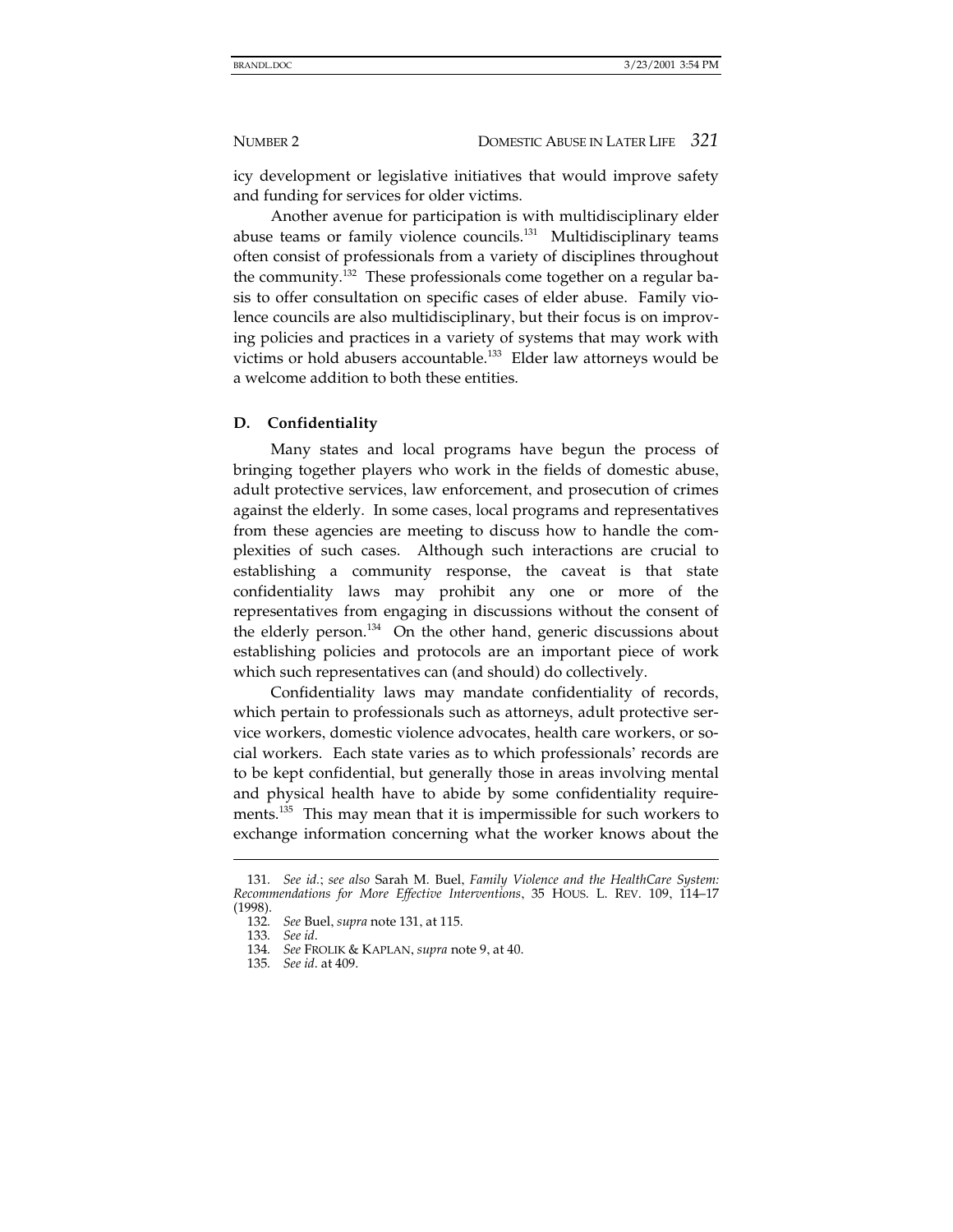icy development or legislative initiatives that would improve safety and funding for services for older victims.

Another avenue for participation is with multidisciplinary elder abuse teams or family violence councils.<sup>131</sup> Multidisciplinary teams often consist of professionals from a variety of disciplines throughout the community.<sup>132</sup> These professionals come together on a regular basis to offer consultation on specific cases of elder abuse. Family violence councils are also multidisciplinary, but their focus is on improving policies and practices in a variety of systems that may work with victims or hold abusers accountable.<sup>133</sup> Elder law attorneys would be a welcome addition to both these entities.

### **D. Confidentiality**

Many states and local programs have begun the process of bringing together players who work in the fields of domestic abuse, adult protective services, law enforcement, and prosecution of crimes against the elderly. In some cases, local programs and representatives from these agencies are meeting to discuss how to handle the complexities of such cases. Although such interactions are crucial to establishing a community response, the caveat is that state confidentiality laws may prohibit any one or more of the representatives from engaging in discussions without the consent of the elderly person.<sup>134</sup> On the other hand, generic discussions about establishing policies and protocols are an important piece of work which such representatives can (and should) do collectively.

Confidentiality laws may mandate confidentiality of records, which pertain to professionals such as attorneys, adult protective service workers, domestic violence advocates, health care workers, or social workers. Each state varies as to which professionals' records are to be kept confidential, but generally those in areas involving mental and physical health have to abide by some confidentiality requirements.<sup>135</sup> This may mean that it is impermissible for such workers to exchange information concerning what the worker knows about the

<sup>131</sup>*. See id.*; *see also* Sarah M. Buel, *Family Violence and the HealthCare System: Recommendations for More Effective Interventions*, 35 HOUS. L. REV. 109, 114–17 (1998).

<sup>132</sup>*. See* Buel, *supra* note 131, at 115.

<sup>133</sup>*. See id*.

<sup>134</sup>*. See* FROLIK & KAPLAN, *supra* note 9, at 40.

<sup>135</sup>*. See id*. at 409.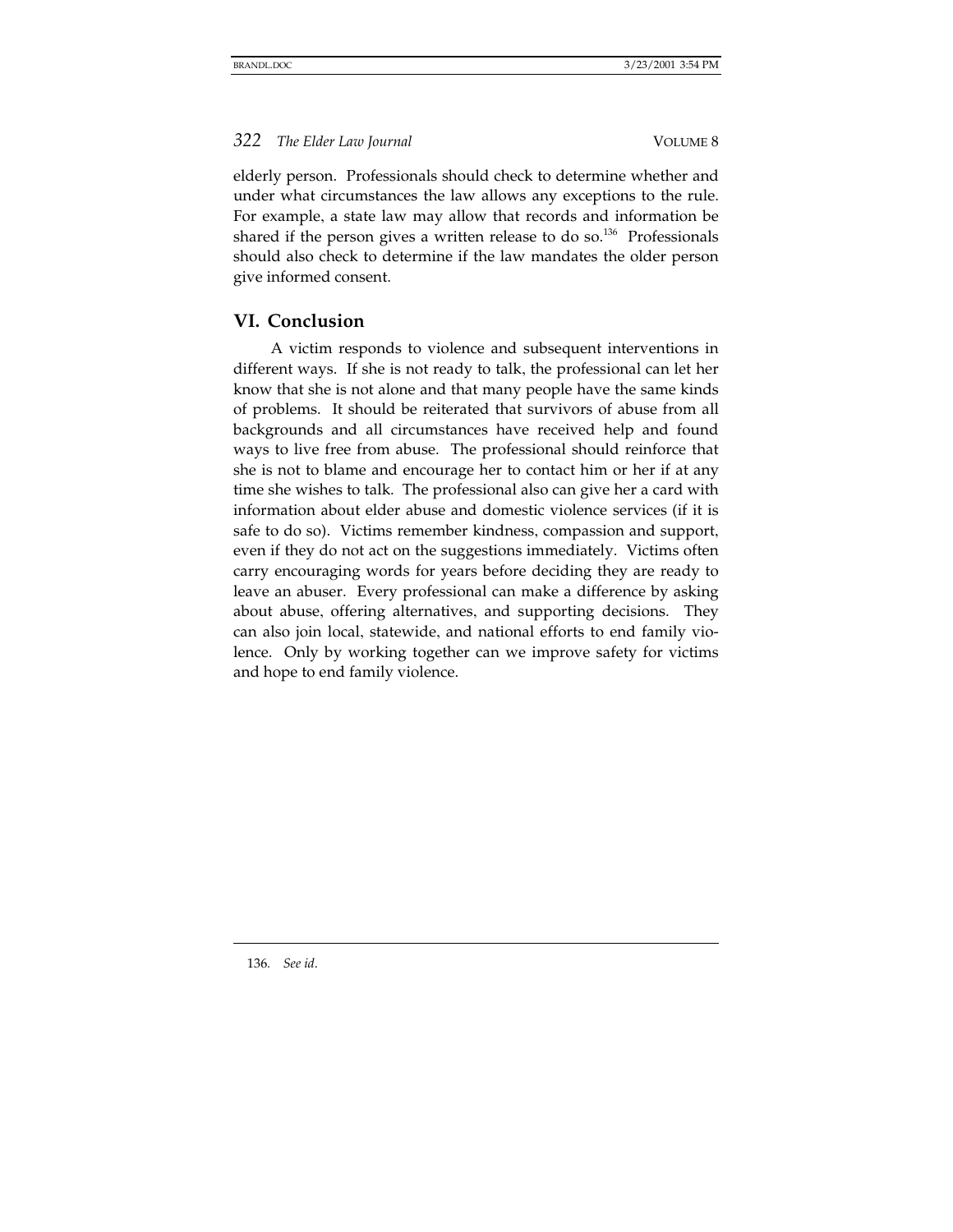elderly person. Professionals should check to determine whether and under what circumstances the law allows any exceptions to the rule. For example, a state law may allow that records and information be shared if the person gives a written release to do so.<sup>136</sup> Professionals should also check to determine if the law mandates the older person give informed consent.

## **VI. Conclusion**

A victim responds to violence and subsequent interventions in different ways. If she is not ready to talk, the professional can let her know that she is not alone and that many people have the same kinds of problems. It should be reiterated that survivors of abuse from all backgrounds and all circumstances have received help and found ways to live free from abuse. The professional should reinforce that she is not to blame and encourage her to contact him or her if at any time she wishes to talk. The professional also can give her a card with information about elder abuse and domestic violence services (if it is safe to do so). Victims remember kindness, compassion and support, even if they do not act on the suggestions immediately. Victims often carry encouraging words for years before deciding they are ready to leave an abuser. Every professional can make a difference by asking about abuse, offering alternatives, and supporting decisions. They can also join local, statewide, and national efforts to end family violence. Only by working together can we improve safety for victims and hope to end family violence.

136*. See id*.